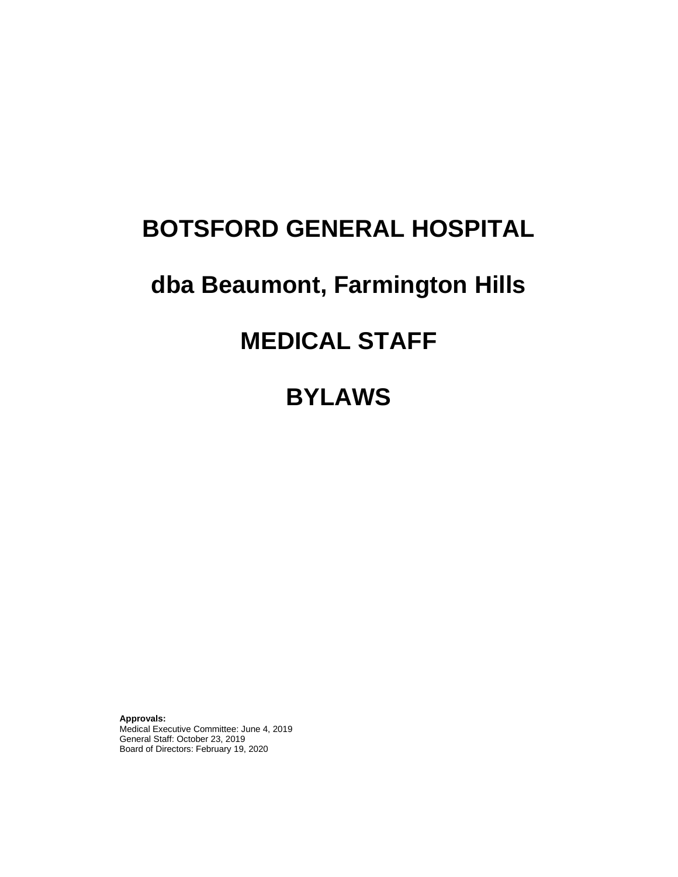# **BOTSFORD GENERAL HOSPITAL**

# **dba Beaumont, Farmington Hills**

# **MEDICAL STAFF**

**BYLAWS**

**Approvals:** Medical Executive Committee: June 4, 2019 General Staff: October 23, 2019 Board of Directors: February 19, 2020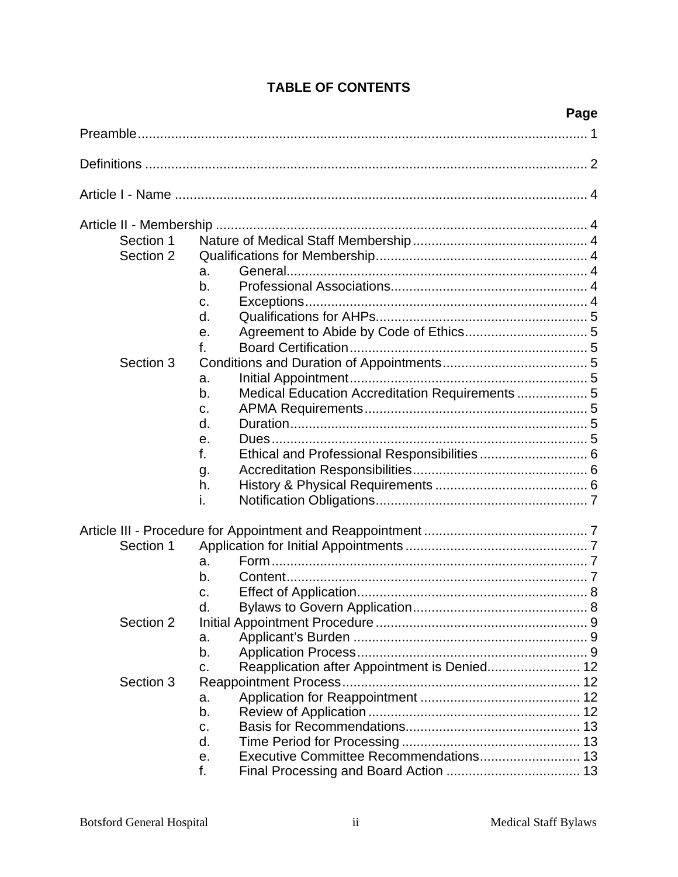|           | Page                                                 |  |
|-----------|------------------------------------------------------|--|
|           |                                                      |  |
|           |                                                      |  |
|           |                                                      |  |
|           |                                                      |  |
| Section 1 |                                                      |  |
| Section 2 |                                                      |  |
|           | a.                                                   |  |
|           | b.                                                   |  |
|           | c.                                                   |  |
|           | d.                                                   |  |
|           | е.                                                   |  |
|           | f.                                                   |  |
| Section 3 |                                                      |  |
|           | a.                                                   |  |
|           | Medical Education Accreditation Requirements 5<br>b. |  |
|           | C.                                                   |  |
|           | d.                                                   |  |
|           | е.                                                   |  |
|           | f.                                                   |  |
|           |                                                      |  |
|           | g.<br>h.                                             |  |
|           | i.                                                   |  |
|           |                                                      |  |
|           |                                                      |  |
| Section 1 |                                                      |  |
|           | a.                                                   |  |
|           | b.                                                   |  |
|           | C.                                                   |  |
|           | d.                                                   |  |
| Section 2 |                                                      |  |
|           | a.                                                   |  |
|           | b.                                                   |  |
|           | Reapplication after Appointment is Denied 12<br>C.   |  |
| Section 3 |                                                      |  |
|           | a.                                                   |  |
|           | b.                                                   |  |
|           | c.                                                   |  |
|           | d.                                                   |  |
|           | е.                                                   |  |
|           | f.                                                   |  |

## **TABLE OF CONTENTS**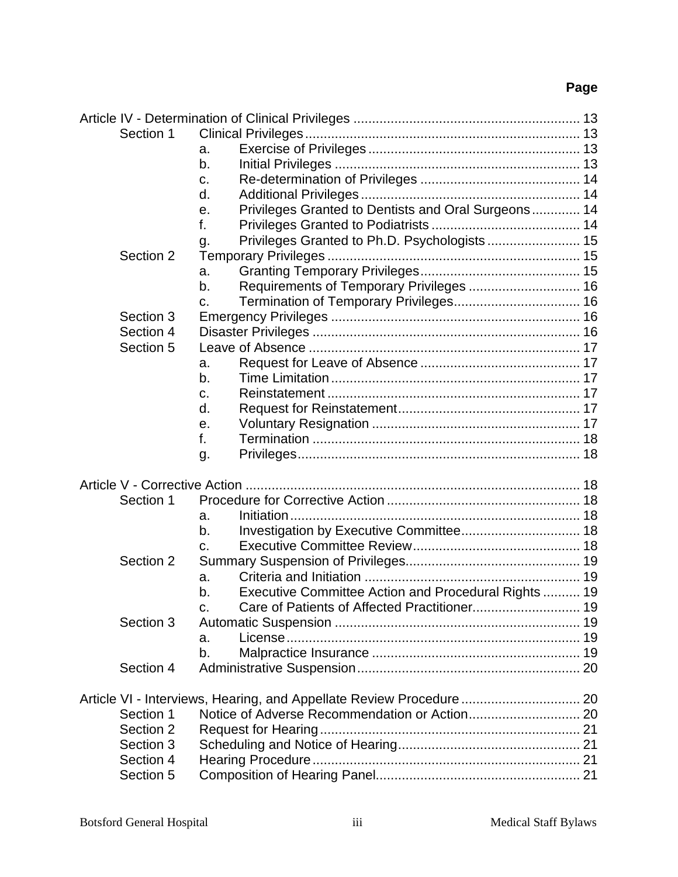| Section 1 |                                                            |  |
|-----------|------------------------------------------------------------|--|
|           | a.                                                         |  |
|           | b.                                                         |  |
|           | c.                                                         |  |
|           | d.                                                         |  |
|           | Privileges Granted to Dentists and Oral Surgeons 14<br>е.  |  |
|           | f.                                                         |  |
|           | Privileges Granted to Ph.D. Psychologists 15<br>g.         |  |
| Section 2 |                                                            |  |
|           | a.                                                         |  |
|           | Requirements of Temporary Privileges  16<br>b.             |  |
|           | C.                                                         |  |
| Section 3 |                                                            |  |
| Section 4 |                                                            |  |
|           |                                                            |  |
| Section 5 |                                                            |  |
|           | a.                                                         |  |
|           | b.                                                         |  |
|           | c.                                                         |  |
|           | d.                                                         |  |
|           | е.                                                         |  |
|           | f.                                                         |  |
|           | g.                                                         |  |
|           |                                                            |  |
|           |                                                            |  |
| Section 1 |                                                            |  |
|           | a.                                                         |  |
|           | b.                                                         |  |
|           | C.                                                         |  |
| Section 2 |                                                            |  |
|           | a.                                                         |  |
|           | Executive Committee Action and Procedural Rights  19<br>b. |  |
|           |                                                            |  |
| Section 3 |                                                            |  |
|           | a.                                                         |  |
|           | b.                                                         |  |
| Section 4 |                                                            |  |
|           |                                                            |  |
|           |                                                            |  |
| Section 1 |                                                            |  |
| Section 2 |                                                            |  |
| Section 3 |                                                            |  |
| Section 4 |                                                            |  |
| Section 5 |                                                            |  |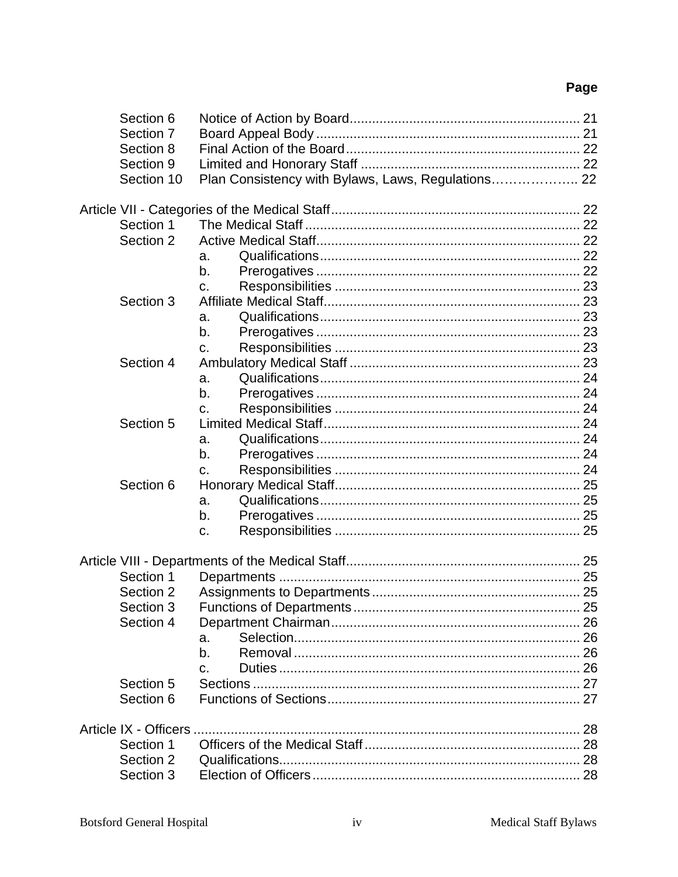| Section 6  |                                                    |  |
|------------|----------------------------------------------------|--|
| Section 7  |                                                    |  |
| Section 8  |                                                    |  |
| Section 9  |                                                    |  |
| Section 10 | Plan Consistency with Bylaws, Laws, Regulations 22 |  |
|            |                                                    |  |
|            |                                                    |  |
| Section 1  |                                                    |  |
| Section 2  |                                                    |  |
|            | a.                                                 |  |
|            | b.                                                 |  |
|            | C.                                                 |  |
| Section 3  |                                                    |  |
|            | a.                                                 |  |
|            | b.                                                 |  |
|            | C.                                                 |  |
| Section 4  |                                                    |  |
|            | a.                                                 |  |
|            | b.                                                 |  |
|            | C.                                                 |  |
| Section 5  |                                                    |  |
|            | a.                                                 |  |
|            | b.                                                 |  |
|            | C.                                                 |  |
| Section 6  |                                                    |  |
|            | a.                                                 |  |
|            | b.                                                 |  |
|            | C.                                                 |  |
|            |                                                    |  |
|            |                                                    |  |
| Section 1  |                                                    |  |
| Section 2  |                                                    |  |
| Section 3  |                                                    |  |
| Section 4  |                                                    |  |
|            | a.                                                 |  |
|            | b.                                                 |  |
|            | C.                                                 |  |
| Section 5  |                                                    |  |
| Section 6  |                                                    |  |
|            |                                                    |  |
|            |                                                    |  |
| Section 1  |                                                    |  |
| Section 2  |                                                    |  |
| Section 3  |                                                    |  |
|            |                                                    |  |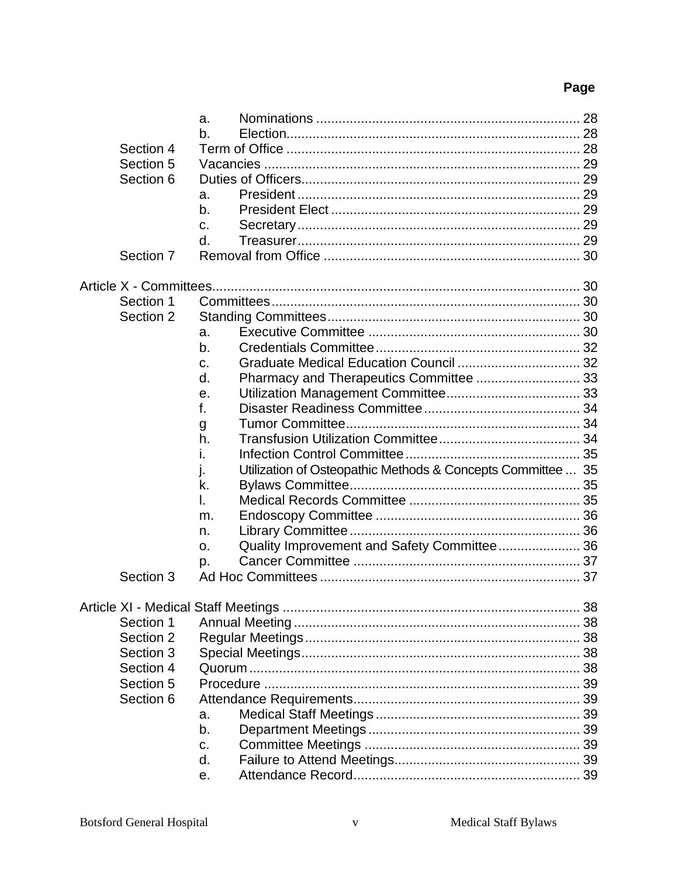|           | a.                                                                |  |
|-----------|-------------------------------------------------------------------|--|
|           | b.                                                                |  |
| Section 4 |                                                                   |  |
| Section 5 |                                                                   |  |
| Section 6 |                                                                   |  |
|           | a.                                                                |  |
|           | b.                                                                |  |
|           | C.                                                                |  |
|           | d.                                                                |  |
| Section 7 |                                                                   |  |
|           |                                                                   |  |
|           |                                                                   |  |
| Section 1 |                                                                   |  |
| Section 2 |                                                                   |  |
|           | a.                                                                |  |
|           | b.                                                                |  |
|           | C.                                                                |  |
|           | Pharmacy and Therapeutics Committee  33<br>d.                     |  |
|           | е.                                                                |  |
|           | f.                                                                |  |
|           | g                                                                 |  |
|           | h.                                                                |  |
|           | Ι.                                                                |  |
|           | Utilization of Osteopathic Methods & Concepts Committee  35<br>ı. |  |
|           | k.                                                                |  |
|           | I.                                                                |  |
|           | m.                                                                |  |
|           | n.                                                                |  |
|           | Quality Improvement and Safety Committee 36<br>0.                 |  |
|           | p.                                                                |  |
| Section 3 |                                                                   |  |
|           |                                                                   |  |
| Section 1 |                                                                   |  |
| Section 2 |                                                                   |  |
| Section 3 |                                                                   |  |
| Section 4 |                                                                   |  |
| Section 5 |                                                                   |  |
| Section 6 |                                                                   |  |
|           | a.                                                                |  |
|           | b.                                                                |  |
|           | c.                                                                |  |
|           | d.                                                                |  |
|           | е.                                                                |  |
|           |                                                                   |  |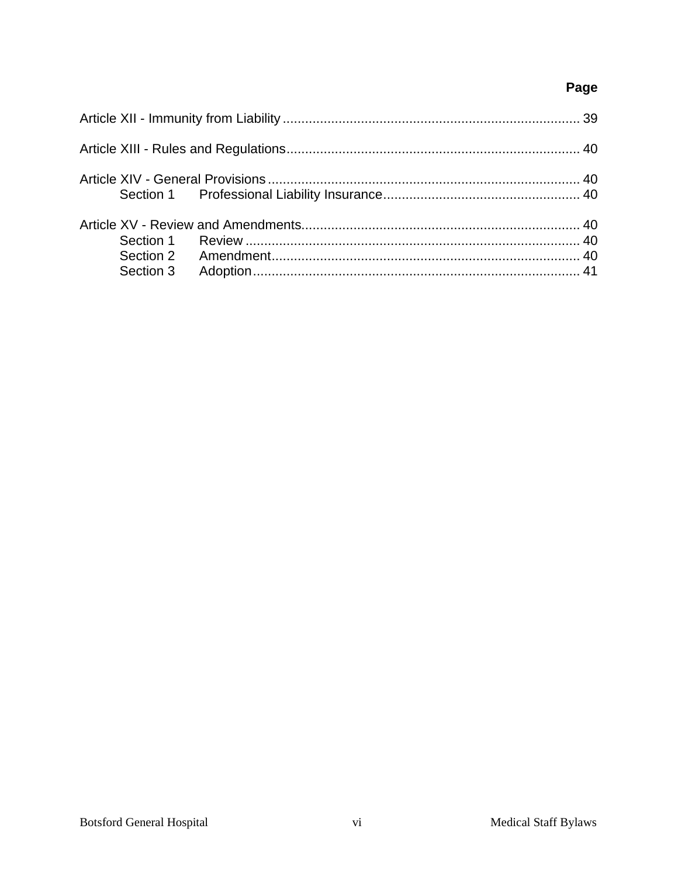| Section 3 |  |
|-----------|--|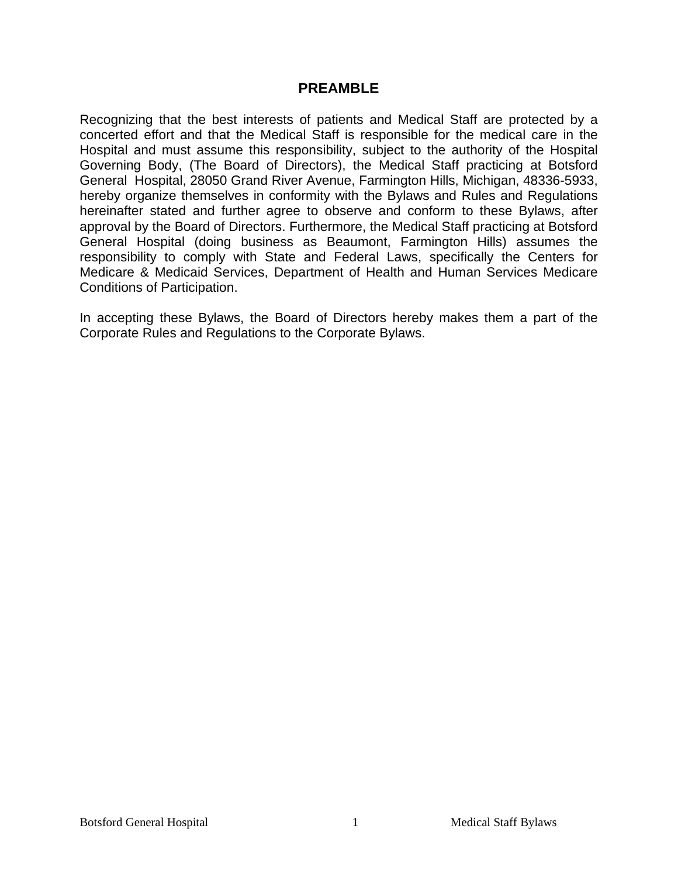## **PREAMBLE**

Recognizing that the best interests of patients and Medical Staff are protected by a concerted effort and that the Medical Staff is responsible for the medical care in the Hospital and must assume this responsibility, subject to the authority of the Hospital Governing Body, (The Board of Directors), the Medical Staff practicing at Botsford General Hospital, 28050 Grand River Avenue, Farmington Hills, Michigan, 48336-5933, hereby organize themselves in conformity with the Bylaws and Rules and Regulations hereinafter stated and further agree to observe and conform to these Bylaws, after approval by the Board of Directors. Furthermore, the Medical Staff practicing at Botsford General Hospital (doing business as Beaumont, Farmington Hills) assumes the responsibility to comply with State and Federal Laws, specifically the Centers for Medicare & Medicaid Services, Department of Health and Human Services Medicare Conditions of Participation.

In accepting these Bylaws, the Board of Directors hereby makes them a part of the Corporate Rules and Regulations to the Corporate Bylaws.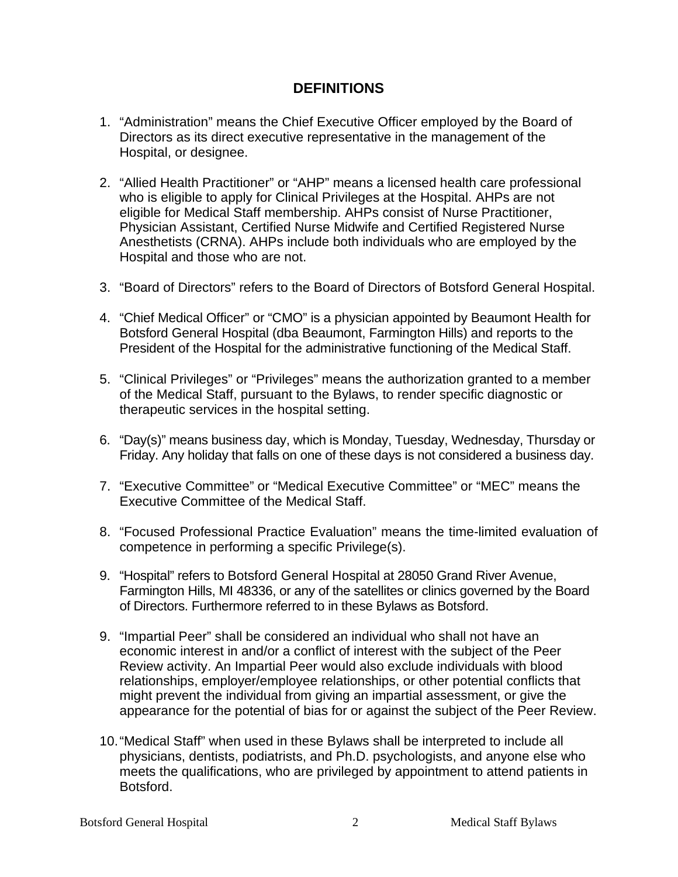## **DEFINITIONS**

- 1. "Administration" means the Chief Executive Officer employed by the Board of Directors as its direct executive representative in the management of the Hospital, or designee.
- 2. "Allied Health Practitioner" or "AHP" means a licensed health care professional who is eligible to apply for Clinical Privileges at the Hospital. AHPs are not eligible for Medical Staff membership. AHPs consist of Nurse Practitioner, Physician Assistant, Certified Nurse Midwife and Certified Registered Nurse Anesthetists (CRNA). AHPs include both individuals who are employed by the Hospital and those who are not.
- 3. "Board of Directors" refers to the Board of Directors of Botsford General Hospital.
- 4. "Chief Medical Officer" or "CMO" is a physician appointed by Beaumont Health for Botsford General Hospital (dba Beaumont, Farmington Hills) and reports to the President of the Hospital for the administrative functioning of the Medical Staff.
- 5. "Clinical Privileges" or "Privileges" means the authorization granted to a member of the Medical Staff, pursuant to the Bylaws, to render specific diagnostic or therapeutic services in the hospital setting.
- 6. "Day(s)" means business day, which is Monday, Tuesday, Wednesday, Thursday or Friday. Any holiday that falls on one of these days is not considered a business day.
- 7. "Executive Committee" or "Medical Executive Committee" or "MEC" means the Executive Committee of the Medical Staff.
- 8. "Focused Professional Practice Evaluation" means the time-limited evaluation of competence in performing a specific Privilege(s).
- 9. "Hospital" refers to Botsford General Hospital at 28050 Grand River Avenue, Farmington Hills, MI 48336, or any of the satellites or clinics governed by the Board of Directors. Furthermore referred to in these Bylaws as Botsford.
- 9. "Impartial Peer" shall be considered an individual who shall not have an economic interest in and/or a conflict of interest with the subject of the Peer Review activity. An Impartial Peer would also exclude individuals with blood relationships, employer/employee relationships, or other potential conflicts that might prevent the individual from giving an impartial assessment, or give the appearance for the potential of bias for or against the subject of the Peer Review.
- 10."Medical Staff" when used in these Bylaws shall be interpreted to include all physicians, dentists, podiatrists, and Ph.D. psychologists, and anyone else who meets the qualifications, who are privileged by appointment to attend patients in Botsford.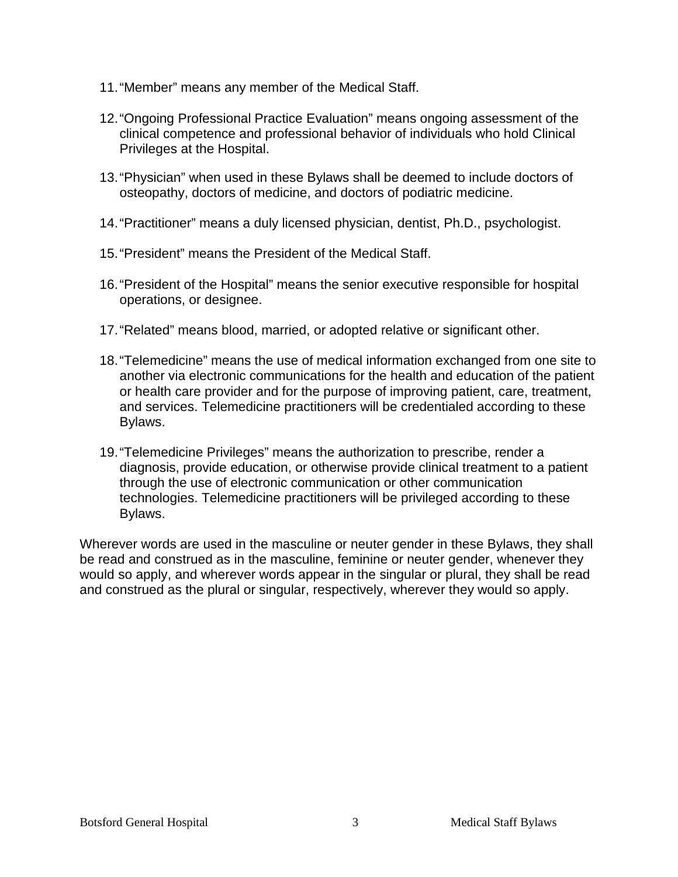- 11."Member" means any member of the Medical Staff.
- 12."Ongoing Professional Practice Evaluation" means ongoing assessment of the clinical competence and professional behavior of individuals who hold Clinical Privileges at the Hospital.
- 13."Physician" when used in these Bylaws shall be deemed to include doctors of osteopathy, doctors of medicine, and doctors of podiatric medicine.
- 14."Practitioner" means a duly licensed physician, dentist, Ph.D., psychologist.
- 15."President" means the President of the Medical Staff.
- 16."President of the Hospital" means the senior executive responsible for hospital operations, or designee.
- 17."Related" means blood, married, or adopted relative or significant other.
- 18."Telemedicine" means the use of medical information exchanged from one site to another via electronic communications for the health and education of the patient or health care provider and for the purpose of improving patient, care, treatment, and services. Telemedicine practitioners will be credentialed according to these Bylaws.
- 19."Telemedicine Privileges" means the authorization to prescribe, render a diagnosis, provide education, or otherwise provide clinical treatment to a patient through the use of electronic communication or other communication technologies. Telemedicine practitioners will be privileged according to these Bylaws.

Wherever words are used in the masculine or neuter gender in these Bylaws, they shall be read and construed as in the masculine, feminine or neuter gender, whenever they would so apply, and wherever words appear in the singular or plural, they shall be read and construed as the plural or singular, respectively, wherever they would so apply.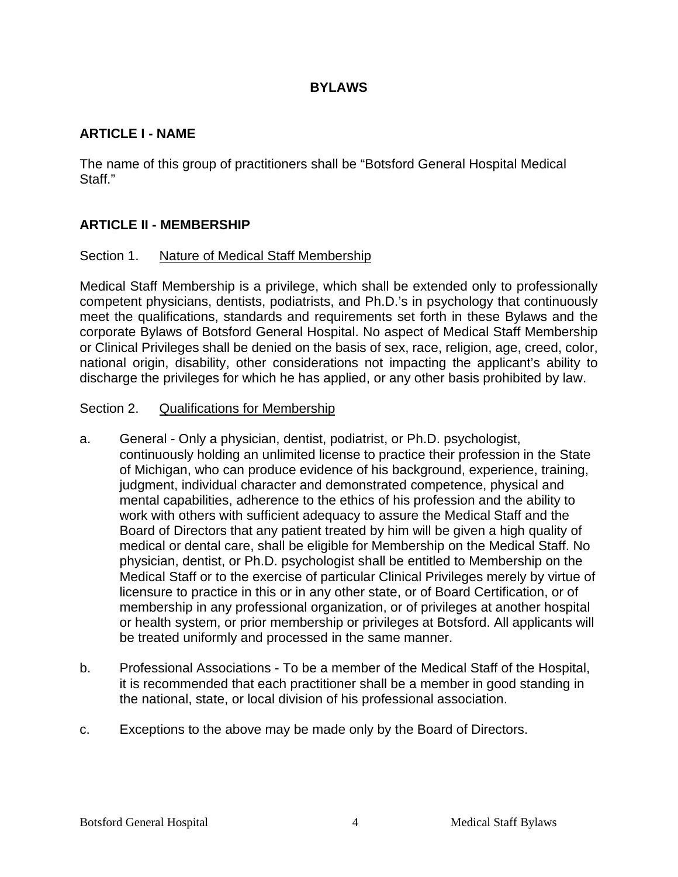## **BYLAWS**

## **ARTICLE I - NAME**

The name of this group of practitioners shall be "Botsford General Hospital Medical Staff."

## **ARTICLE II - MEMBERSHIP**

#### Section 1. Nature of Medical Staff Membership

Medical Staff Membership is a privilege, which shall be extended only to professionally competent physicians, dentists, podiatrists, and Ph.D.'s in psychology that continuously meet the qualifications, standards and requirements set forth in these Bylaws and the corporate Bylaws of Botsford General Hospital. No aspect of Medical Staff Membership or Clinical Privileges shall be denied on the basis of sex, race, religion, age, creed, color, national origin, disability, other considerations not impacting the applicant's ability to discharge the privileges for which he has applied, or any other basis prohibited by law.

#### Section 2. Qualifications for Membership

- a. General Only a physician, dentist, podiatrist, or Ph.D. psychologist, continuously holding an unlimited license to practice their profession in the State of Michigan, who can produce evidence of his background, experience, training, judgment, individual character and demonstrated competence, physical and mental capabilities, adherence to the ethics of his profession and the ability to work with others with sufficient adequacy to assure the Medical Staff and the Board of Directors that any patient treated by him will be given a high quality of medical or dental care, shall be eligible for Membership on the Medical Staff. No physician, dentist, or Ph.D. psychologist shall be entitled to Membership on the Medical Staff or to the exercise of particular Clinical Privileges merely by virtue of licensure to practice in this or in any other state, or of Board Certification, or of membership in any professional organization, or of privileges at another hospital or health system, or prior membership or privileges at Botsford. All applicants will be treated uniformly and processed in the same manner.
- b. Professional Associations To be a member of the Medical Staff of the Hospital, it is recommended that each practitioner shall be a member in good standing in the national, state, or local division of his professional association.
- c. Exceptions to the above may be made only by the Board of Directors.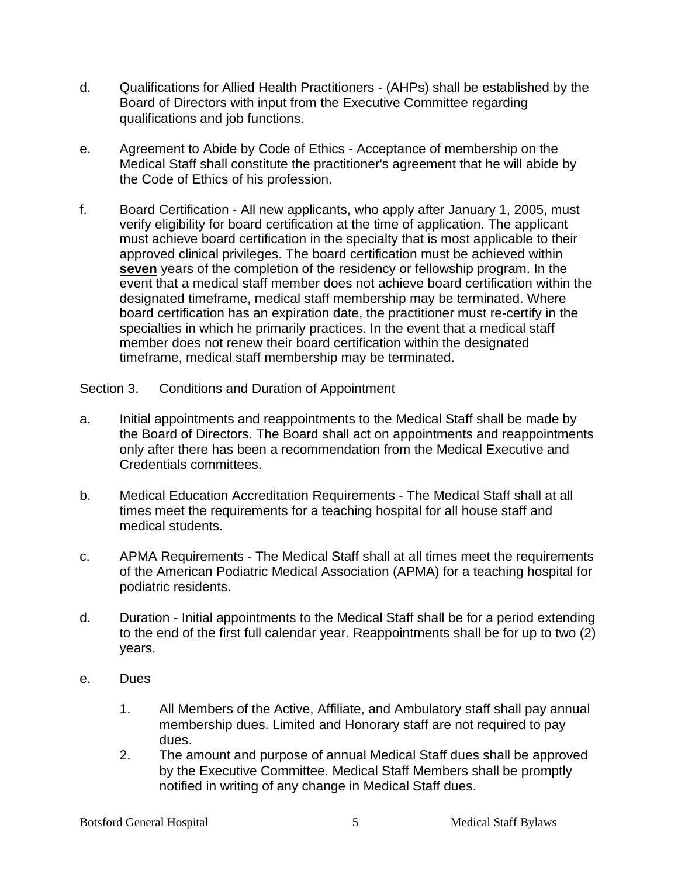- d. Qualifications for Allied Health Practitioners (AHPs) shall be established by the Board of Directors with input from the Executive Committee regarding qualifications and job functions.
- e. Agreement to Abide by Code of Ethics Acceptance of membership on the Medical Staff shall constitute the practitioner's agreement that he will abide by the Code of Ethics of his profession.
- f. Board Certification All new applicants, who apply after January 1, 2005, must verify eligibility for board certification at the time of application. The applicant must achieve board certification in the specialty that is most applicable to their approved clinical privileges. The board certification must be achieved within **seven** years of the completion of the residency or fellowship program. In the event that a medical staff member does not achieve board certification within the designated timeframe, medical staff membership may be terminated. Where board certification has an expiration date, the practitioner must re-certify in the specialties in which he primarily practices. In the event that a medical staff member does not renew their board certification within the designated timeframe, medical staff membership may be terminated.

## Section 3. Conditions and Duration of Appointment

- a. Initial appointments and reappointments to the Medical Staff shall be made by the Board of Directors. The Board shall act on appointments and reappointments only after there has been a recommendation from the Medical Executive and Credentials committees.
- b. Medical Education Accreditation Requirements The Medical Staff shall at all times meet the requirements for a teaching hospital for all house staff and medical students.
- c. APMA Requirements The Medical Staff shall at all times meet the requirements of the American Podiatric Medical Association (APMA) for a teaching hospital for podiatric residents.
- d. Duration Initial appointments to the Medical Staff shall be for a period extending to the end of the first full calendar year. Reappointments shall be for up to two (2) years.
- e. Dues
	- 1. All Members of the Active, Affiliate, and Ambulatory staff shall pay annual membership dues. Limited and Honorary staff are not required to pay dues.
	- 2. The amount and purpose of annual Medical Staff dues shall be approved by the Executive Committee. Medical Staff Members shall be promptly notified in writing of any change in Medical Staff dues.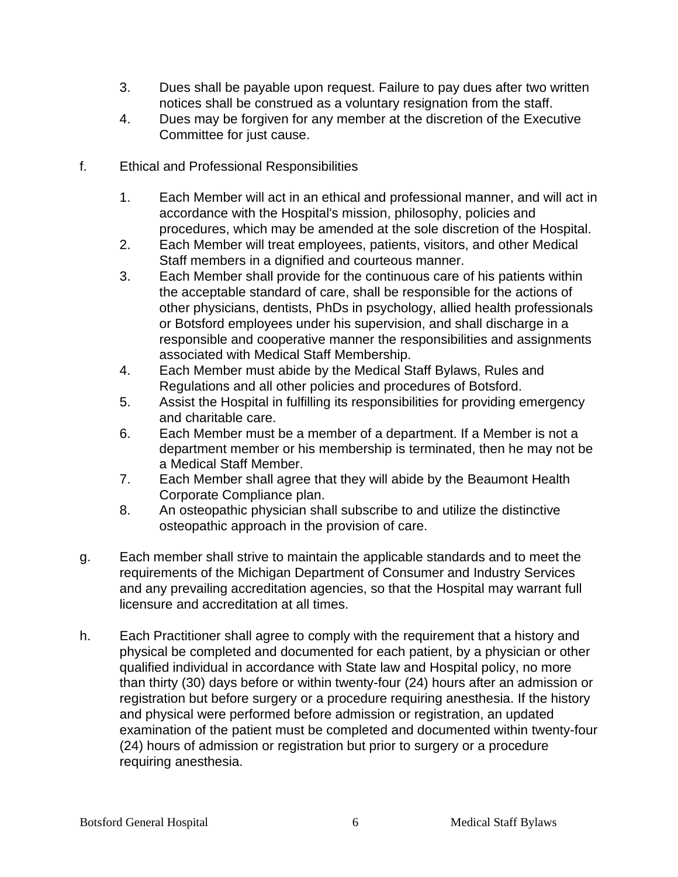- 3. Dues shall be payable upon request. Failure to pay dues after two written notices shall be construed as a voluntary resignation from the staff.
- 4. Dues may be forgiven for any member at the discretion of the Executive Committee for just cause.
- f. Ethical and Professional Responsibilities
	- 1. Each Member will act in an ethical and professional manner, and will act in accordance with the Hospital's mission, philosophy, policies and procedures, which may be amended at the sole discretion of the Hospital.
	- 2. Each Member will treat employees, patients, visitors, and other Medical Staff members in a dignified and courteous manner.
	- 3. Each Member shall provide for the continuous care of his patients within the acceptable standard of care, shall be responsible for the actions of other physicians, dentists, PhDs in psychology, allied health professionals or Botsford employees under his supervision, and shall discharge in a responsible and cooperative manner the responsibilities and assignments associated with Medical Staff Membership.
	- 4. Each Member must abide by the Medical Staff Bylaws, Rules and Regulations and all other policies and procedures of Botsford.
	- 5. Assist the Hospital in fulfilling its responsibilities for providing emergency and charitable care.
	- 6. Each Member must be a member of a department. If a Member is not a department member or his membership is terminated, then he may not be a Medical Staff Member.
	- 7. Each Member shall agree that they will abide by the Beaumont Health Corporate Compliance plan.
	- 8. An osteopathic physician shall subscribe to and utilize the distinctive osteopathic approach in the provision of care.
- g. Each member shall strive to maintain the applicable standards and to meet the requirements of the Michigan Department of Consumer and Industry Services and any prevailing accreditation agencies, so that the Hospital may warrant full licensure and accreditation at all times.
- h. Each Practitioner shall agree to comply with the requirement that a history and physical be completed and documented for each patient, by a physician or other qualified individual in accordance with State law and Hospital policy, no more than thirty (30) days before or within twenty-four (24) hours after an admission or registration but before surgery or a procedure requiring anesthesia. If the history and physical were performed before admission or registration, an updated examination of the patient must be completed and documented within twenty-four (24) hours of admission or registration but prior to surgery or a procedure requiring anesthesia.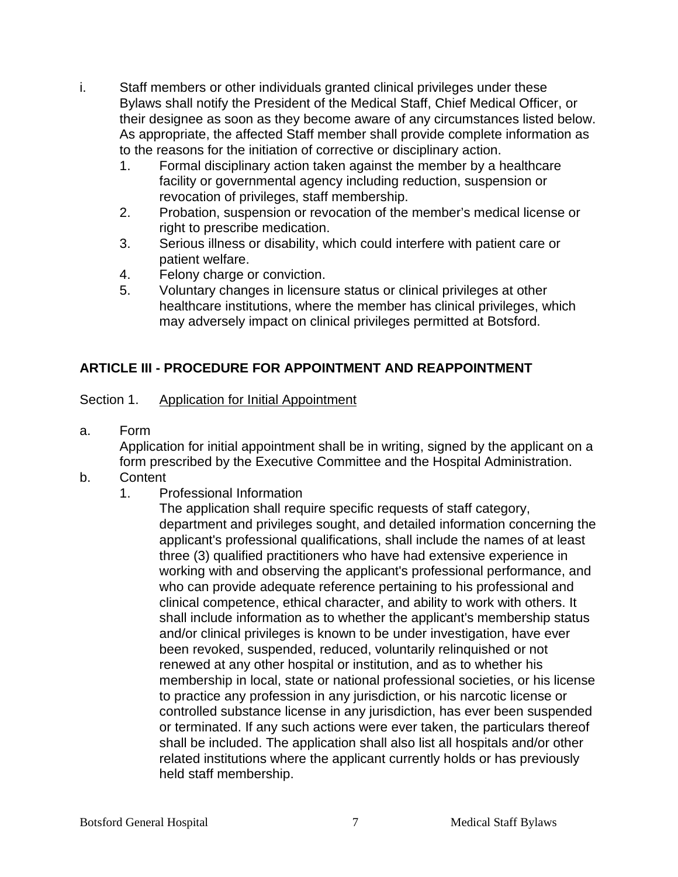- i. Staff members or other individuals granted clinical privileges under these Bylaws shall notify the President of the Medical Staff, Chief Medical Officer, or their designee as soon as they become aware of any circumstances listed below. As appropriate, the affected Staff member shall provide complete information as to the reasons for the initiation of corrective or disciplinary action.
	- 1. Formal disciplinary action taken against the member by a healthcare facility or governmental agency including reduction, suspension or revocation of privileges, staff membership.
	- 2. Probation, suspension or revocation of the member's medical license or right to prescribe medication.
	- 3. Serious illness or disability, which could interfere with patient care or patient welfare.
	- 4. Felony charge or conviction.
	- 5. Voluntary changes in licensure status or clinical privileges at other healthcare institutions, where the member has clinical privileges, which may adversely impact on clinical privileges permitted at Botsford.

## **ARTICLE III - PROCEDURE FOR APPOINTMENT AND REAPPOINTMENT**

## Section 1. Application for Initial Appointment

a. Form

Application for initial appointment shall be in writing, signed by the applicant on a form prescribed by the Executive Committee and the Hospital Administration.

- b. Content
	- 1. Professional Information

The application shall require specific requests of staff category, department and privileges sought, and detailed information concerning the applicant's professional qualifications, shall include the names of at least three (3) qualified practitioners who have had extensive experience in working with and observing the applicant's professional performance, and who can provide adequate reference pertaining to his professional and clinical competence, ethical character, and ability to work with others. It shall include information as to whether the applicant's membership status and/or clinical privileges is known to be under investigation, have ever been revoked, suspended, reduced, voluntarily relinquished or not renewed at any other hospital or institution, and as to whether his membership in local, state or national professional societies, or his license to practice any profession in any jurisdiction, or his narcotic license or controlled substance license in any jurisdiction, has ever been suspended or terminated. If any such actions were ever taken, the particulars thereof shall be included. The application shall also list all hospitals and/or other related institutions where the applicant currently holds or has previously held staff membership.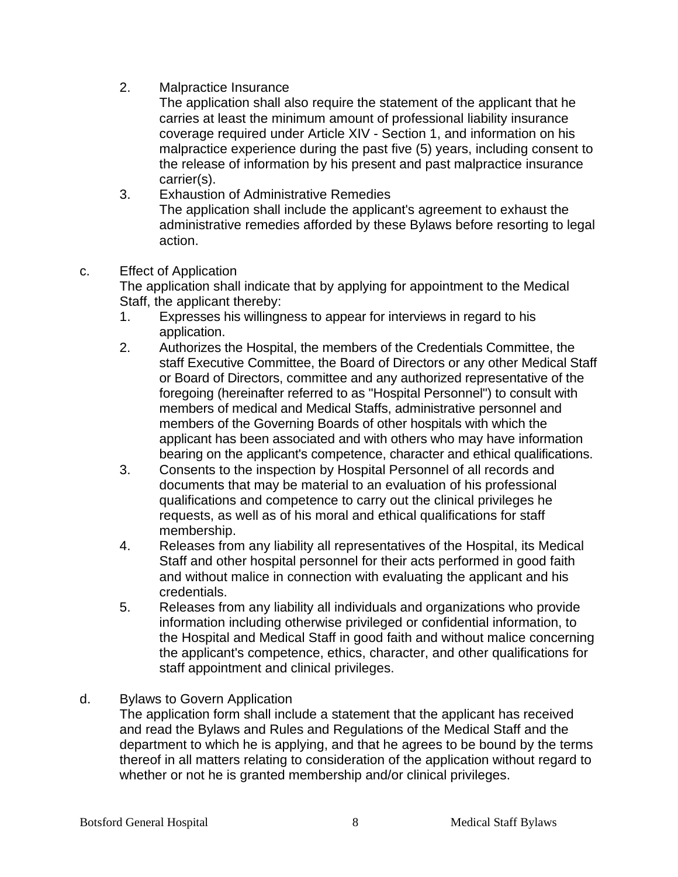2. Malpractice Insurance

The application shall also require the statement of the applicant that he carries at least the minimum amount of professional liability insurance coverage required under Article XIV - Section 1, and information on his malpractice experience during the past five (5) years, including consent to the release of information by his present and past malpractice insurance carrier(s).

3. Exhaustion of Administrative Remedies The application shall include the applicant's agreement to exhaust the administrative remedies afforded by these Bylaws before resorting to legal action.

c. Effect of Application

The application shall indicate that by applying for appointment to the Medical Staff, the applicant thereby:

- 1. Expresses his willingness to appear for interviews in regard to his application.
- 2. Authorizes the Hospital, the members of the Credentials Committee, the staff Executive Committee, the Board of Directors or any other Medical Staff or Board of Directors, committee and any authorized representative of the foregoing (hereinafter referred to as "Hospital Personnel") to consult with members of medical and Medical Staffs, administrative personnel and members of the Governing Boards of other hospitals with which the applicant has been associated and with others who may have information bearing on the applicant's competence, character and ethical qualifications.
- 3. Consents to the inspection by Hospital Personnel of all records and documents that may be material to an evaluation of his professional qualifications and competence to carry out the clinical privileges he requests, as well as of his moral and ethical qualifications for staff membership.
- 4. Releases from any liability all representatives of the Hospital, its Medical Staff and other hospital personnel for their acts performed in good faith and without malice in connection with evaluating the applicant and his credentials.
- 5. Releases from any liability all individuals and organizations who provide information including otherwise privileged or confidential information, to the Hospital and Medical Staff in good faith and without malice concerning the applicant's competence, ethics, character, and other qualifications for staff appointment and clinical privileges.
- d. Bylaws to Govern Application

The application form shall include a statement that the applicant has received and read the Bylaws and Rules and Regulations of the Medical Staff and the department to which he is applying, and that he agrees to be bound by the terms thereof in all matters relating to consideration of the application without regard to whether or not he is granted membership and/or clinical privileges.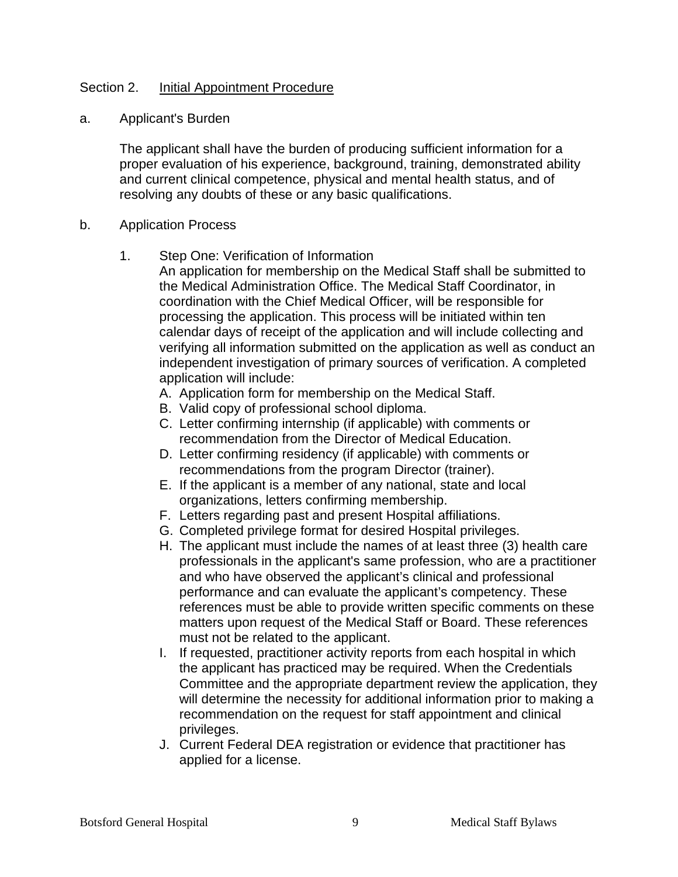## Section 2. Initial Appointment Procedure

a. Applicant's Burden

The applicant shall have the burden of producing sufficient information for a proper evaluation of his experience, background, training, demonstrated ability and current clinical competence, physical and mental health status, and of resolving any doubts of these or any basic qualifications.

#### b. Application Process

- 1. Step One: Verification of Information
	- An application for membership on the Medical Staff shall be submitted to the Medical Administration Office. The Medical Staff Coordinator, in coordination with the Chief Medical Officer, will be responsible for processing the application. This process will be initiated within ten calendar days of receipt of the application and will include collecting and verifying all information submitted on the application as well as conduct an independent investigation of primary sources of verification. A completed application will include:
		- A. Application form for membership on the Medical Staff.
		- B. Valid copy of professional school diploma.
		- C. Letter confirming internship (if applicable) with comments or recommendation from the Director of Medical Education.
		- D. Letter confirming residency (if applicable) with comments or recommendations from the program Director (trainer).
		- E. If the applicant is a member of any national, state and local organizations, letters confirming membership.
		- F. Letters regarding past and present Hospital affiliations.
		- G. Completed privilege format for desired Hospital privileges.
		- H. The applicant must include the names of at least three (3) health care professionals in the applicant's same profession, who are a practitioner and who have observed the applicant's clinical and professional performance and can evaluate the applicant's competency. These references must be able to provide written specific comments on these matters upon request of the Medical Staff or Board. These references must not be related to the applicant.
		- I. If requested, practitioner activity reports from each hospital in which the applicant has practiced may be required. When the Credentials Committee and the appropriate department review the application, they will determine the necessity for additional information prior to making a recommendation on the request for staff appointment and clinical privileges.
		- J. Current Federal DEA registration or evidence that practitioner has applied for a license.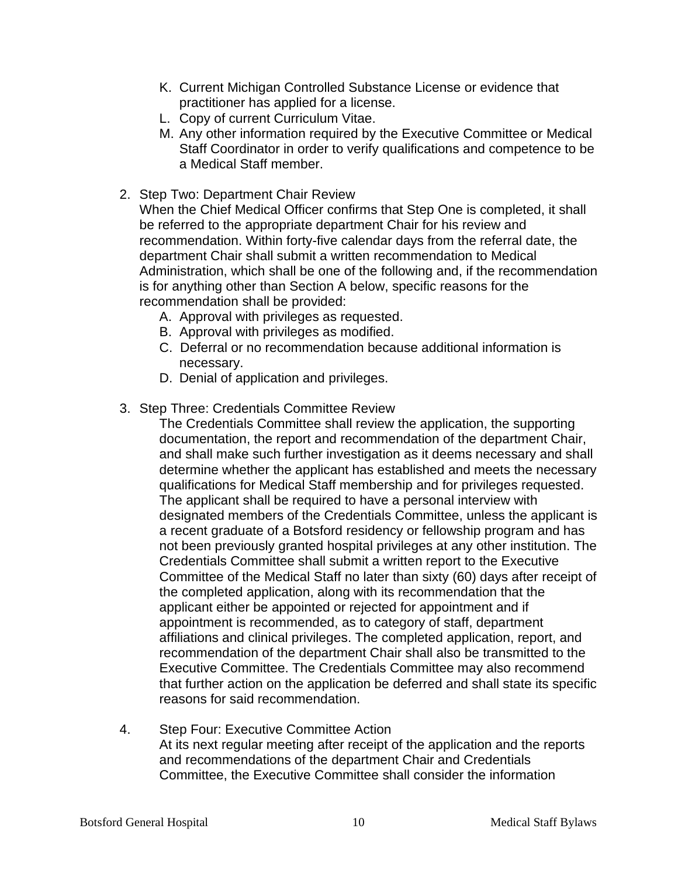- K. Current Michigan Controlled Substance License or evidence that practitioner has applied for a license.
- L. Copy of current Curriculum Vitae.
- M. Any other information required by the Executive Committee or Medical Staff Coordinator in order to verify qualifications and competence to be a Medical Staff member.
- 2. Step Two: Department Chair Review

When the Chief Medical Officer confirms that Step One is completed, it shall be referred to the appropriate department Chair for his review and recommendation. Within forty-five calendar days from the referral date, the department Chair shall submit a written recommendation to Medical Administration, which shall be one of the following and, if the recommendation is for anything other than Section A below, specific reasons for the recommendation shall be provided:

- A. Approval with privileges as requested.
- B. Approval with privileges as modified.
- C. Deferral or no recommendation because additional information is necessary.
- D. Denial of application and privileges.
- 3. Step Three: Credentials Committee Review

The Credentials Committee shall review the application, the supporting documentation, the report and recommendation of the department Chair, and shall make such further investigation as it deems necessary and shall determine whether the applicant has established and meets the necessary qualifications for Medical Staff membership and for privileges requested. The applicant shall be required to have a personal interview with designated members of the Credentials Committee, unless the applicant is a recent graduate of a Botsford residency or fellowship program and has not been previously granted hospital privileges at any other institution. The Credentials Committee shall submit a written report to the Executive Committee of the Medical Staff no later than sixty (60) days after receipt of the completed application, along with its recommendation that the applicant either be appointed or rejected for appointment and if appointment is recommended, as to category of staff, department affiliations and clinical privileges. The completed application, report, and recommendation of the department Chair shall also be transmitted to the Executive Committee. The Credentials Committee may also recommend that further action on the application be deferred and shall state its specific reasons for said recommendation.

4. Step Four: Executive Committee Action At its next regular meeting after receipt of the application and the reports and recommendations of the department Chair and Credentials Committee, the Executive Committee shall consider the information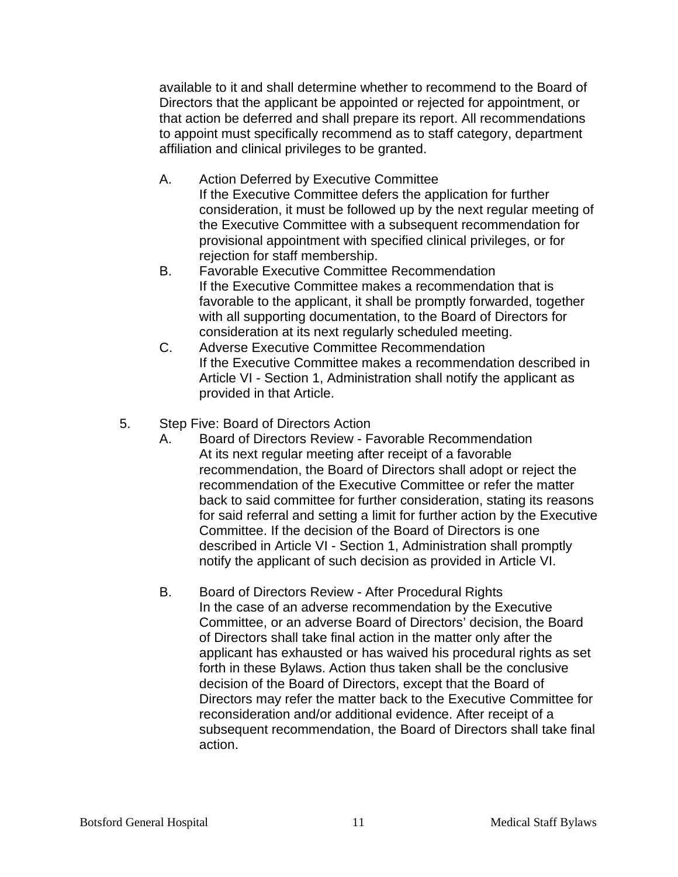available to it and shall determine whether to recommend to the Board of Directors that the applicant be appointed or rejected for appointment, or that action be deferred and shall prepare its report. All recommendations to appoint must specifically recommend as to staff category, department affiliation and clinical privileges to be granted.

- A. Action Deferred by Executive Committee If the Executive Committee defers the application for further consideration, it must be followed up by the next regular meeting of the Executive Committee with a subsequent recommendation for provisional appointment with specified clinical privileges, or for rejection for staff membership.
- B. Favorable Executive Committee Recommendation If the Executive Committee makes a recommendation that is favorable to the applicant, it shall be promptly forwarded, together with all supporting documentation, to the Board of Directors for consideration at its next regularly scheduled meeting.
- C. Adverse Executive Committee Recommendation If the Executive Committee makes a recommendation described in Article VI - Section 1, Administration shall notify the applicant as provided in that Article.
- 5. Step Five: Board of Directors Action
	- A. Board of Directors Review Favorable Recommendation At its next regular meeting after receipt of a favorable recommendation, the Board of Directors shall adopt or reject the recommendation of the Executive Committee or refer the matter back to said committee for further consideration, stating its reasons for said referral and setting a limit for further action by the Executive Committee. If the decision of the Board of Directors is one described in Article VI - Section 1, Administration shall promptly notify the applicant of such decision as provided in Article VI.
	- B. Board of Directors Review After Procedural Rights In the case of an adverse recommendation by the Executive Committee, or an adverse Board of Directors' decision, the Board of Directors shall take final action in the matter only after the applicant has exhausted or has waived his procedural rights as set forth in these Bylaws. Action thus taken shall be the conclusive decision of the Board of Directors, except that the Board of Directors may refer the matter back to the Executive Committee for reconsideration and/or additional evidence. After receipt of a subsequent recommendation, the Board of Directors shall take final action.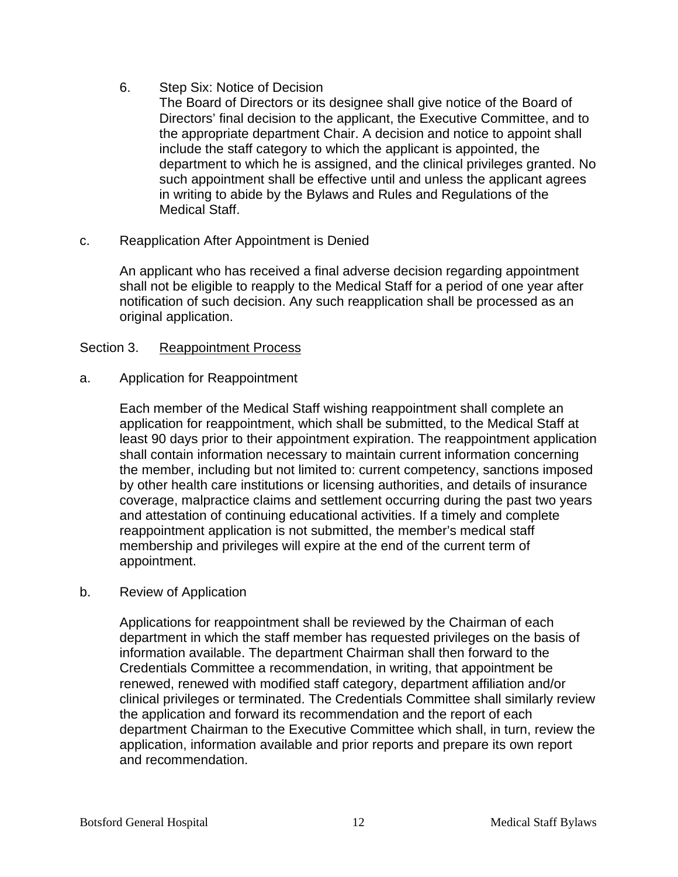- 6. Step Six: Notice of Decision
	- The Board of Directors or its designee shall give notice of the Board of Directors' final decision to the applicant, the Executive Committee, and to the appropriate department Chair. A decision and notice to appoint shall include the staff category to which the applicant is appointed, the department to which he is assigned, and the clinical privileges granted. No such appointment shall be effective until and unless the applicant agrees in writing to abide by the Bylaws and Rules and Regulations of the Medical Staff.
- c. Reapplication After Appointment is Denied

An applicant who has received a final adverse decision regarding appointment shall not be eligible to reapply to the Medical Staff for a period of one year after notification of such decision. Any such reapplication shall be processed as an original application.

## Section 3. Reappointment Process

## a. Application for Reappointment

Each member of the Medical Staff wishing reappointment shall complete an application for reappointment, which shall be submitted, to the Medical Staff at least 90 days prior to their appointment expiration. The reappointment application shall contain information necessary to maintain current information concerning the member, including but not limited to: current competency, sanctions imposed by other health care institutions or licensing authorities, and details of insurance coverage, malpractice claims and settlement occurring during the past two years and attestation of continuing educational activities. If a timely and complete reappointment application is not submitted, the member's medical staff membership and privileges will expire at the end of the current term of appointment.

## b. Review of Application

Applications for reappointment shall be reviewed by the Chairman of each department in which the staff member has requested privileges on the basis of information available. The department Chairman shall then forward to the Credentials Committee a recommendation, in writing, that appointment be renewed, renewed with modified staff category, department affiliation and/or clinical privileges or terminated. The Credentials Committee shall similarly review the application and forward its recommendation and the report of each department Chairman to the Executive Committee which shall, in turn, review the application, information available and prior reports and prepare its own report and recommendation.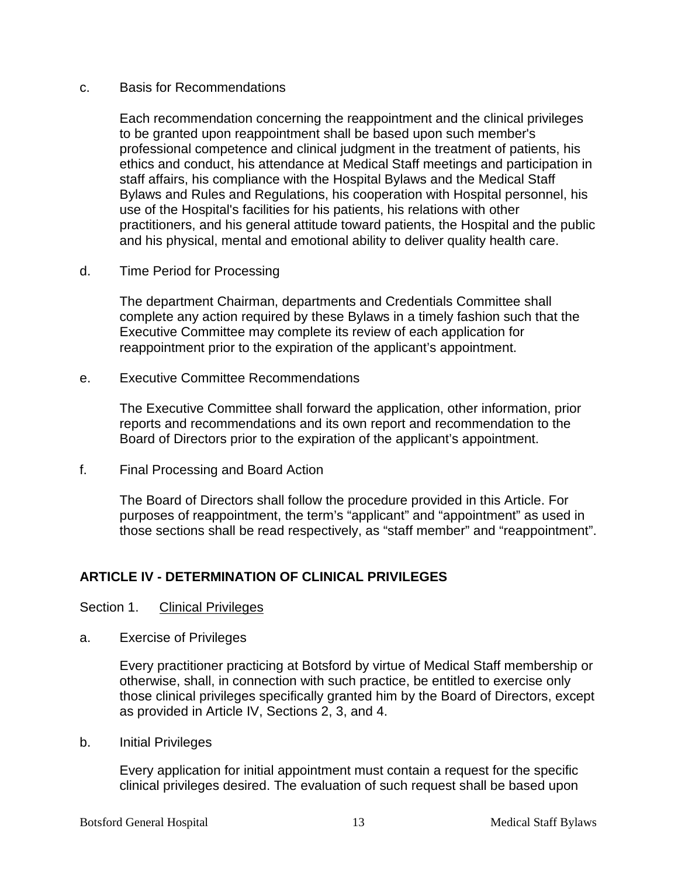#### c. Basis for Recommendations

Each recommendation concerning the reappointment and the clinical privileges to be granted upon reappointment shall be based upon such member's professional competence and clinical judgment in the treatment of patients, his ethics and conduct, his attendance at Medical Staff meetings and participation in staff affairs, his compliance with the Hospital Bylaws and the Medical Staff Bylaws and Rules and Regulations, his cooperation with Hospital personnel, his use of the Hospital's facilities for his patients, his relations with other practitioners, and his general attitude toward patients, the Hospital and the public and his physical, mental and emotional ability to deliver quality health care.

d. Time Period for Processing

The department Chairman, departments and Credentials Committee shall complete any action required by these Bylaws in a timely fashion such that the Executive Committee may complete its review of each application for reappointment prior to the expiration of the applicant's appointment.

e. Executive Committee Recommendations

The Executive Committee shall forward the application, other information, prior reports and recommendations and its own report and recommendation to the Board of Directors prior to the expiration of the applicant's appointment.

f. Final Processing and Board Action

The Board of Directors shall follow the procedure provided in this Article. For purposes of reappointment, the term's "applicant" and "appointment" as used in those sections shall be read respectively, as "staff member" and "reappointment".

## **ARTICLE IV - DETERMINATION OF CLINICAL PRIVILEGES**

#### Section 1. Clinical Privileges

a. Exercise of Privileges

Every practitioner practicing at Botsford by virtue of Medical Staff membership or otherwise, shall, in connection with such practice, be entitled to exercise only those clinical privileges specifically granted him by the Board of Directors, except as provided in Article IV, Sections 2, 3, and 4.

b. Initial Privileges

Every application for initial appointment must contain a request for the specific clinical privileges desired. The evaluation of such request shall be based upon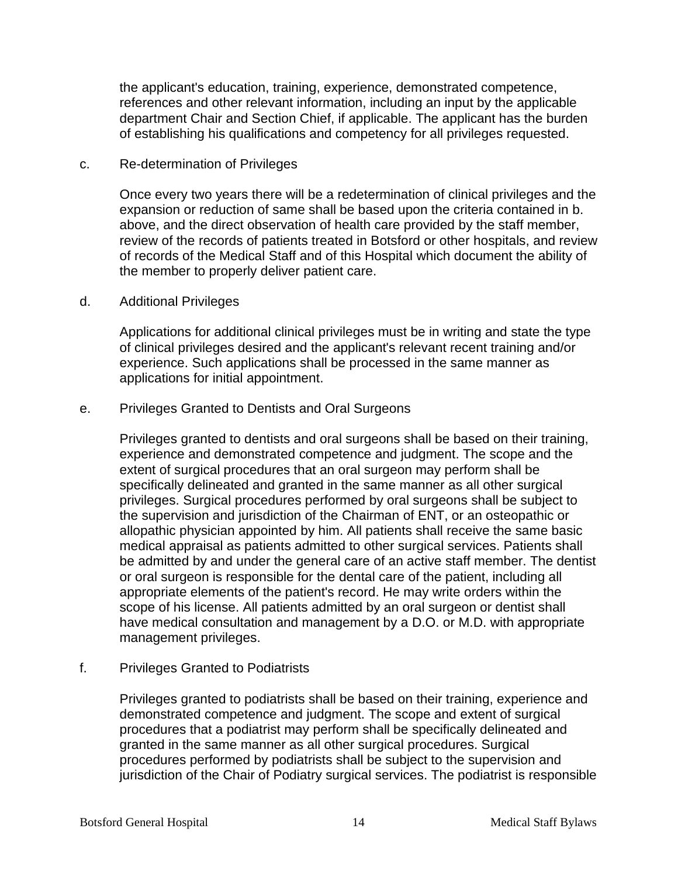the applicant's education, training, experience, demonstrated competence, references and other relevant information, including an input by the applicable department Chair and Section Chief, if applicable. The applicant has the burden of establishing his qualifications and competency for all privileges requested.

#### c. Re-determination of Privileges

Once every two years there will be a redetermination of clinical privileges and the expansion or reduction of same shall be based upon the criteria contained in b. above, and the direct observation of health care provided by the staff member, review of the records of patients treated in Botsford or other hospitals, and review of records of the Medical Staff and of this Hospital which document the ability of the member to properly deliver patient care.

#### d. Additional Privileges

Applications for additional clinical privileges must be in writing and state the type of clinical privileges desired and the applicant's relevant recent training and/or experience. Such applications shall be processed in the same manner as applications for initial appointment.

#### e. Privileges Granted to Dentists and Oral Surgeons

Privileges granted to dentists and oral surgeons shall be based on their training, experience and demonstrated competence and judgment. The scope and the extent of surgical procedures that an oral surgeon may perform shall be specifically delineated and granted in the same manner as all other surgical privileges. Surgical procedures performed by oral surgeons shall be subject to the supervision and jurisdiction of the Chairman of ENT, or an osteopathic or allopathic physician appointed by him. All patients shall receive the same basic medical appraisal as patients admitted to other surgical services. Patients shall be admitted by and under the general care of an active staff member. The dentist or oral surgeon is responsible for the dental care of the patient, including all appropriate elements of the patient's record. He may write orders within the scope of his license. All patients admitted by an oral surgeon or dentist shall have medical consultation and management by a D.O. or M.D. with appropriate management privileges.

## f. Privileges Granted to Podiatrists

Privileges granted to podiatrists shall be based on their training, experience and demonstrated competence and judgment. The scope and extent of surgical procedures that a podiatrist may perform shall be specifically delineated and granted in the same manner as all other surgical procedures. Surgical procedures performed by podiatrists shall be subject to the supervision and jurisdiction of the Chair of Podiatry surgical services. The podiatrist is responsible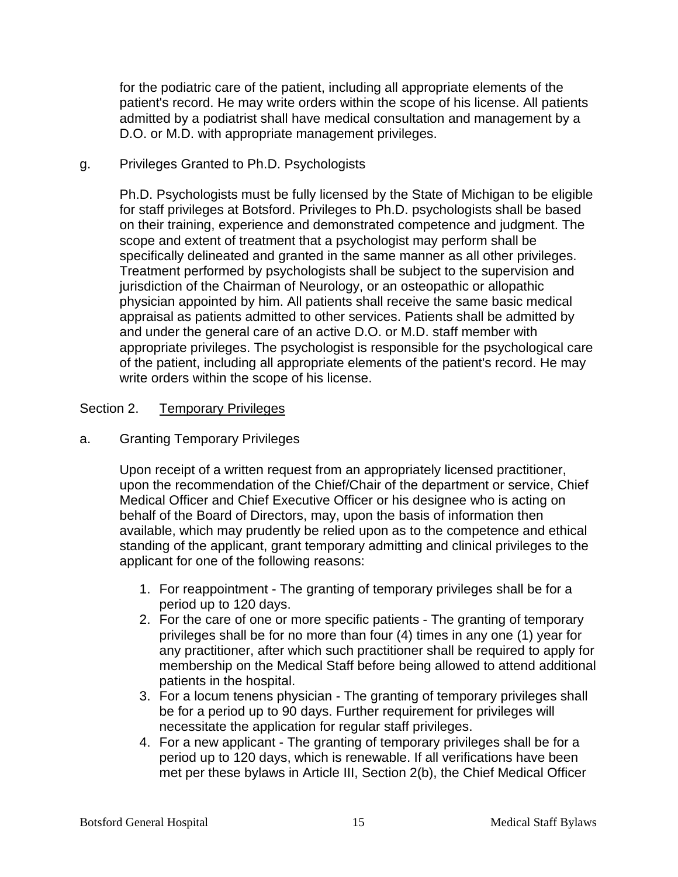for the podiatric care of the patient, including all appropriate elements of the patient's record. He may write orders within the scope of his license. All patients admitted by a podiatrist shall have medical consultation and management by a D.O. or M.D. with appropriate management privileges.

## g. Privileges Granted to Ph.D. Psychologists

Ph.D. Psychologists must be fully licensed by the State of Michigan to be eligible for staff privileges at Botsford. Privileges to Ph.D. psychologists shall be based on their training, experience and demonstrated competence and judgment. The scope and extent of treatment that a psychologist may perform shall be specifically delineated and granted in the same manner as all other privileges. Treatment performed by psychologists shall be subject to the supervision and jurisdiction of the Chairman of Neurology, or an osteopathic or allopathic physician appointed by him. All patients shall receive the same basic medical appraisal as patients admitted to other services. Patients shall be admitted by and under the general care of an active D.O. or M.D. staff member with appropriate privileges. The psychologist is responsible for the psychological care of the patient, including all appropriate elements of the patient's record. He may write orders within the scope of his license.

## Section 2. Temporary Privileges

## a. Granting Temporary Privileges

Upon receipt of a written request from an appropriately licensed practitioner, upon the recommendation of the Chief/Chair of the department or service, Chief Medical Officer and Chief Executive Officer or his designee who is acting on behalf of the Board of Directors, may, upon the basis of information then available, which may prudently be relied upon as to the competence and ethical standing of the applicant, grant temporary admitting and clinical privileges to the applicant for one of the following reasons:

- 1. For reappointment The granting of temporary privileges shall be for a period up to 120 days.
- 2. For the care of one or more specific patients The granting of temporary privileges shall be for no more than four (4) times in any one (1) year for any practitioner, after which such practitioner shall be required to apply for membership on the Medical Staff before being allowed to attend additional patients in the hospital.
- 3. For a locum tenens physician The granting of temporary privileges shall be for a period up to 90 days. Further requirement for privileges will necessitate the application for regular staff privileges.
- 4. For a new applicant The granting of temporary privileges shall be for a period up to 120 days, which is renewable. If all verifications have been met per these bylaws in Article III, Section 2(b), the Chief Medical Officer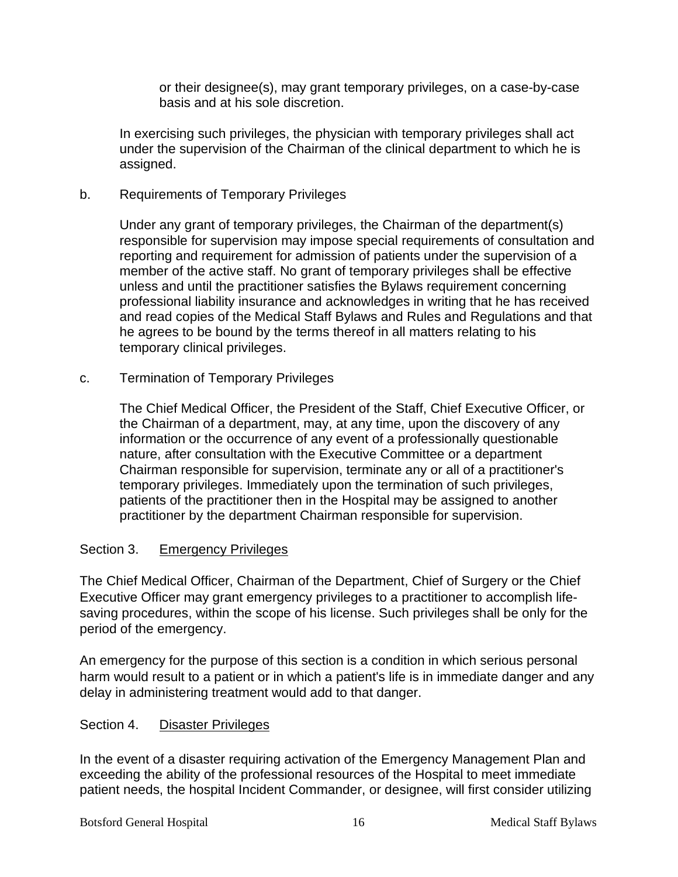or their designee(s), may grant temporary privileges, on a case-by-case basis and at his sole discretion.

In exercising such privileges, the physician with temporary privileges shall act under the supervision of the Chairman of the clinical department to which he is assigned.

## b. Requirements of Temporary Privileges

Under any grant of temporary privileges, the Chairman of the department(s) responsible for supervision may impose special requirements of consultation and reporting and requirement for admission of patients under the supervision of a member of the active staff. No grant of temporary privileges shall be effective unless and until the practitioner satisfies the Bylaws requirement concerning professional liability insurance and acknowledges in writing that he has received and read copies of the Medical Staff Bylaws and Rules and Regulations and that he agrees to be bound by the terms thereof in all matters relating to his temporary clinical privileges.

c. Termination of Temporary Privileges

The Chief Medical Officer, the President of the Staff, Chief Executive Officer, or the Chairman of a department, may, at any time, upon the discovery of any information or the occurrence of any event of a professionally questionable nature, after consultation with the Executive Committee or a department Chairman responsible for supervision, terminate any or all of a practitioner's temporary privileges. Immediately upon the termination of such privileges, patients of the practitioner then in the Hospital may be assigned to another practitioner by the department Chairman responsible for supervision.

## Section 3. Emergency Privileges

The Chief Medical Officer, Chairman of the Department, Chief of Surgery or the Chief Executive Officer may grant emergency privileges to a practitioner to accomplish lifesaving procedures, within the scope of his license. Such privileges shall be only for the period of the emergency.

An emergency for the purpose of this section is a condition in which serious personal harm would result to a patient or in which a patient's life is in immediate danger and any delay in administering treatment would add to that danger.

## Section 4. Disaster Privileges

In the event of a disaster requiring activation of the Emergency Management Plan and exceeding the ability of the professional resources of the Hospital to meet immediate patient needs, the hospital Incident Commander, or designee, will first consider utilizing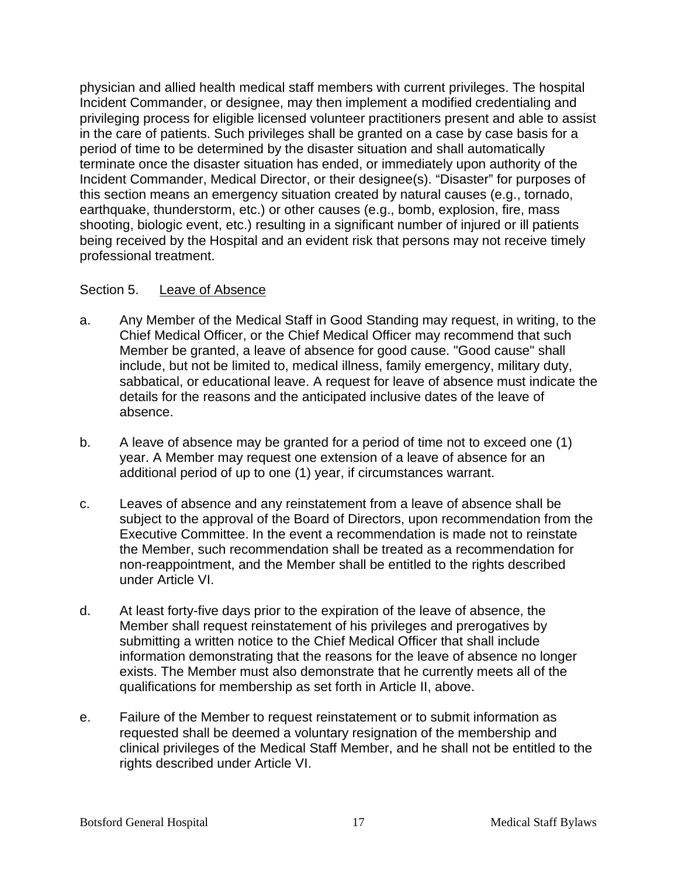physician and allied health medical staff members with current privileges. The hospital Incident Commander, or designee, may then implement a modified credentialing and privileging process for eligible licensed volunteer practitioners present and able to assist in the care of patients. Such privileges shall be granted on a case by case basis for a period of time to be determined by the disaster situation and shall automatically terminate once the disaster situation has ended, or immediately upon authority of the Incident Commander, Medical Director, or their designee(s). "Disaster" for purposes of this section means an emergency situation created by natural causes (e.g., tornado, earthquake, thunderstorm, etc.) or other causes (e.g., bomb, explosion, fire, mass shooting, biologic event, etc.) resulting in a significant number of injured or ill patients being received by the Hospital and an evident risk that persons may not receive timely professional treatment.

## Section 5. Leave of Absence

- a. Any Member of the Medical Staff in Good Standing may request, in writing, to the Chief Medical Officer, or the Chief Medical Officer may recommend that such Member be granted, a leave of absence for good cause. "Good cause" shall include, but not be limited to, medical illness, family emergency, military duty, sabbatical, or educational leave. A request for leave of absence must indicate the details for the reasons and the anticipated inclusive dates of the leave of absence.
- b. A leave of absence may be granted for a period of time not to exceed one (1) year. A Member may request one extension of a leave of absence for an additional period of up to one (1) year, if circumstances warrant.
- c. Leaves of absence and any reinstatement from a leave of absence shall be subject to the approval of the Board of Directors, upon recommendation from the Executive Committee. In the event a recommendation is made not to reinstate the Member, such recommendation shall be treated as a recommendation for non-reappointment, and the Member shall be entitled to the rights described under Article VI.
- d. At least forty-five days prior to the expiration of the leave of absence, the Member shall request reinstatement of his privileges and prerogatives by submitting a written notice to the Chief Medical Officer that shall include information demonstrating that the reasons for the leave of absence no longer exists. The Member must also demonstrate that he currently meets all of the qualifications for membership as set forth in Article II, above.
- e. Failure of the Member to request reinstatement or to submit information as requested shall be deemed a voluntary resignation of the membership and clinical privileges of the Medical Staff Member, and he shall not be entitled to the rights described under Article VI.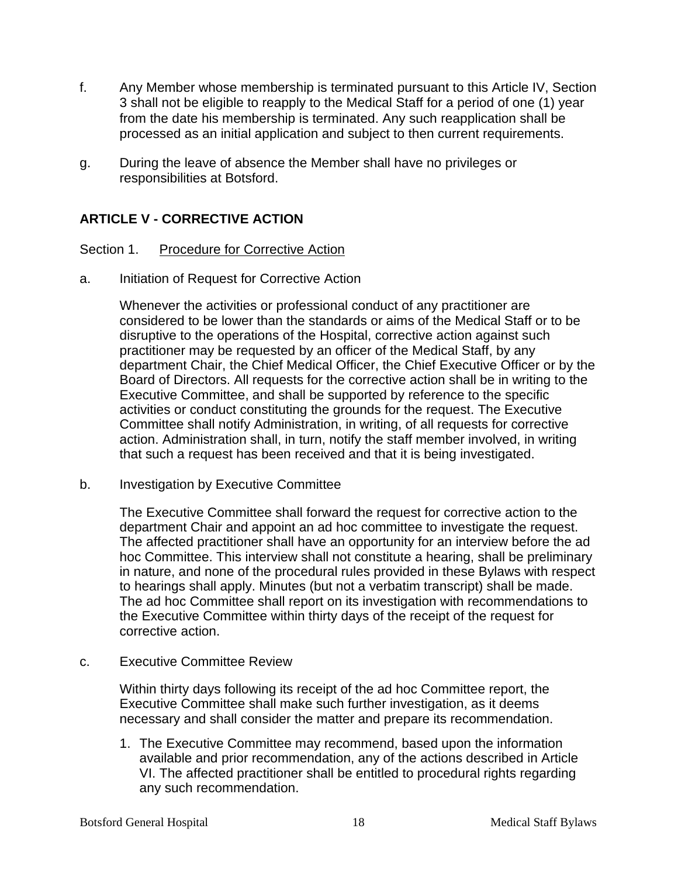- f. Any Member whose membership is terminated pursuant to this Article IV, Section 3 shall not be eligible to reapply to the Medical Staff for a period of one (1) year from the date his membership is terminated. Any such reapplication shall be processed as an initial application and subject to then current requirements.
- g. During the leave of absence the Member shall have no privileges or responsibilities at Botsford.

## **ARTICLE V - CORRECTIVE ACTION**

## Section 1. Procedure for Corrective Action

a. Initiation of Request for Corrective Action

Whenever the activities or professional conduct of any practitioner are considered to be lower than the standards or aims of the Medical Staff or to be disruptive to the operations of the Hospital, corrective action against such practitioner may be requested by an officer of the Medical Staff, by any department Chair, the Chief Medical Officer, the Chief Executive Officer or by the Board of Directors. All requests for the corrective action shall be in writing to the Executive Committee, and shall be supported by reference to the specific activities or conduct constituting the grounds for the request. The Executive Committee shall notify Administration, in writing, of all requests for corrective action. Administration shall, in turn, notify the staff member involved, in writing that such a request has been received and that it is being investigated.

b. Investigation by Executive Committee

The Executive Committee shall forward the request for corrective action to the department Chair and appoint an ad hoc committee to investigate the request. The affected practitioner shall have an opportunity for an interview before the ad hoc Committee. This interview shall not constitute a hearing, shall be preliminary in nature, and none of the procedural rules provided in these Bylaws with respect to hearings shall apply. Minutes (but not a verbatim transcript) shall be made. The ad hoc Committee shall report on its investigation with recommendations to the Executive Committee within thirty days of the receipt of the request for corrective action.

c. Executive Committee Review

Within thirty days following its receipt of the ad hoc Committee report, the Executive Committee shall make such further investigation, as it deems necessary and shall consider the matter and prepare its recommendation.

1. The Executive Committee may recommend, based upon the information available and prior recommendation, any of the actions described in Article VI. The affected practitioner shall be entitled to procedural rights regarding any such recommendation.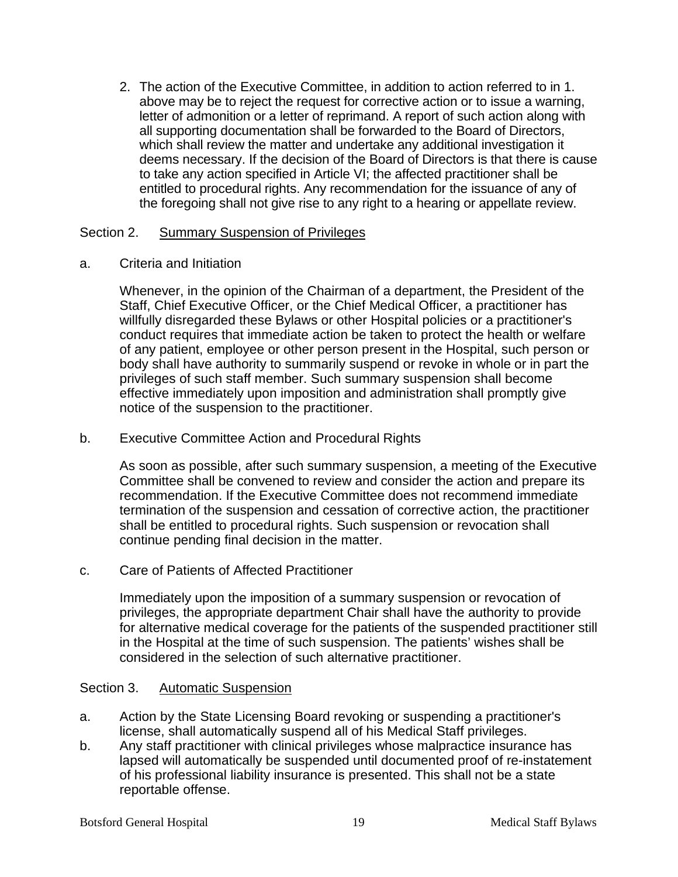2. The action of the Executive Committee, in addition to action referred to in 1. above may be to reject the request for corrective action or to issue a warning, letter of admonition or a letter of reprimand. A report of such action along with all supporting documentation shall be forwarded to the Board of Directors, which shall review the matter and undertake any additional investigation it deems necessary. If the decision of the Board of Directors is that there is cause to take any action specified in Article VI; the affected practitioner shall be entitled to procedural rights. Any recommendation for the issuance of any of the foregoing shall not give rise to any right to a hearing or appellate review.

## Section 2. Summary Suspension of Privileges

a. Criteria and Initiation

Whenever, in the opinion of the Chairman of a department, the President of the Staff, Chief Executive Officer, or the Chief Medical Officer, a practitioner has willfully disregarded these Bylaws or other Hospital policies or a practitioner's conduct requires that immediate action be taken to protect the health or welfare of any patient, employee or other person present in the Hospital, such person or body shall have authority to summarily suspend or revoke in whole or in part the privileges of such staff member. Such summary suspension shall become effective immediately upon imposition and administration shall promptly give notice of the suspension to the practitioner.

## b. Executive Committee Action and Procedural Rights

As soon as possible, after such summary suspension, a meeting of the Executive Committee shall be convened to review and consider the action and prepare its recommendation. If the Executive Committee does not recommend immediate termination of the suspension and cessation of corrective action, the practitioner shall be entitled to procedural rights. Such suspension or revocation shall continue pending final decision in the matter.

## c. Care of Patients of Affected Practitioner

Immediately upon the imposition of a summary suspension or revocation of privileges, the appropriate department Chair shall have the authority to provide for alternative medical coverage for the patients of the suspended practitioner still in the Hospital at the time of such suspension. The patients' wishes shall be considered in the selection of such alternative practitioner.

## Section 3. Automatic Suspension

- a. Action by the State Licensing Board revoking or suspending a practitioner's license, shall automatically suspend all of his Medical Staff privileges.
- b. Any staff practitioner with clinical privileges whose malpractice insurance has lapsed will automatically be suspended until documented proof of re-instatement of his professional liability insurance is presented. This shall not be a state reportable offense.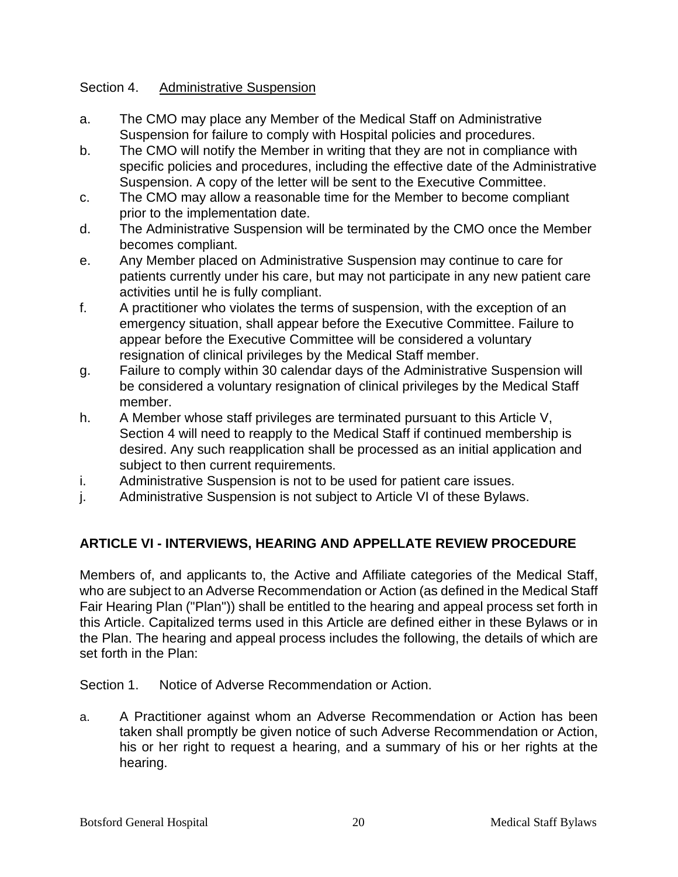## Section 4. Administrative Suspension

- a. The CMO may place any Member of the Medical Staff on Administrative Suspension for failure to comply with Hospital policies and procedures.
- b. The CMO will notify the Member in writing that they are not in compliance with specific policies and procedures, including the effective date of the Administrative Suspension. A copy of the letter will be sent to the Executive Committee.
- c. The CMO may allow a reasonable time for the Member to become compliant prior to the implementation date.
- d. The Administrative Suspension will be terminated by the CMO once the Member becomes compliant.
- e. Any Member placed on Administrative Suspension may continue to care for patients currently under his care, but may not participate in any new patient care activities until he is fully compliant.
- f. A practitioner who violates the terms of suspension, with the exception of an emergency situation, shall appear before the Executive Committee. Failure to appear before the Executive Committee will be considered a voluntary resignation of clinical privileges by the Medical Staff member.
- g. Failure to comply within 30 calendar days of the Administrative Suspension will be considered a voluntary resignation of clinical privileges by the Medical Staff member.
- h. A Member whose staff privileges are terminated pursuant to this Article V, Section 4 will need to reapply to the Medical Staff if continued membership is desired. Any such reapplication shall be processed as an initial application and subject to then current requirements.
- i. Administrative Suspension is not to be used for patient care issues.
- j. Administrative Suspension is not subject to Article VI of these Bylaws.

## **ARTICLE VI - INTERVIEWS, HEARING AND APPELLATE REVIEW PROCEDURE**

Members of, and applicants to, the Active and Affiliate categories of the Medical Staff, who are subject to an Adverse Recommendation or Action (as defined in the Medical Staff Fair Hearing Plan ("Plan")) shall be entitled to the hearing and appeal process set forth in this Article. Capitalized terms used in this Article are defined either in these Bylaws or in the Plan. The hearing and appeal process includes the following, the details of which are set forth in the Plan:

Section 1. Notice of Adverse Recommendation or Action.

a. A Practitioner against whom an Adverse Recommendation or Action has been taken shall promptly be given notice of such Adverse Recommendation or Action, his or her right to request a hearing, and a summary of his or her rights at the hearing.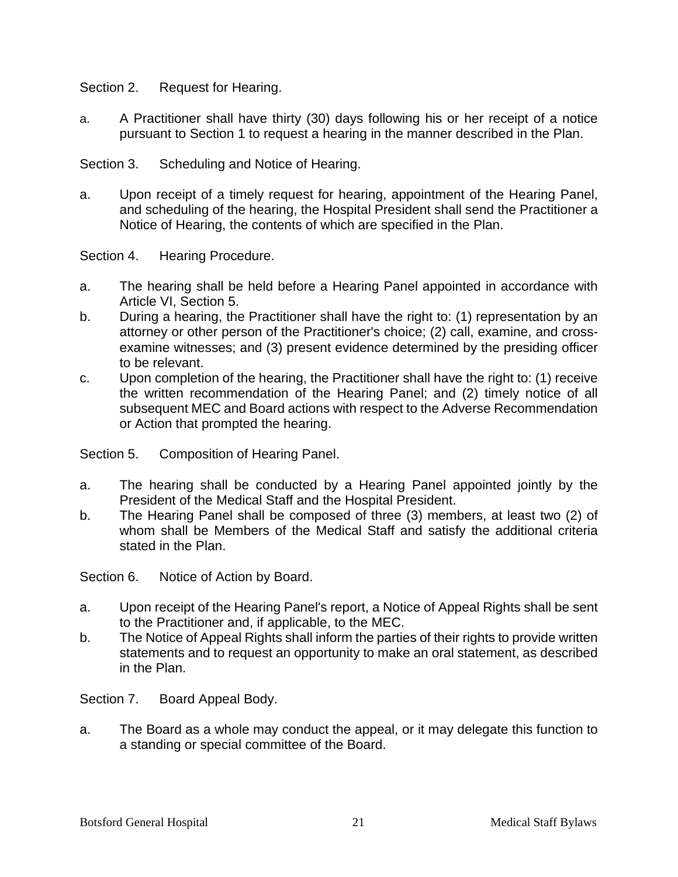Section 2. Request for Hearing.

a. A Practitioner shall have thirty (30) days following his or her receipt of a notice pursuant to Section 1 to request a hearing in the manner described in the Plan.

Section 3. Scheduling and Notice of Hearing.

a. Upon receipt of a timely request for hearing, appointment of the Hearing Panel, and scheduling of the hearing, the Hospital President shall send the Practitioner a Notice of Hearing, the contents of which are specified in the Plan.

Section 4. Hearing Procedure.

- a. The hearing shall be held before a Hearing Panel appointed in accordance with Article VI, Section 5.
- b. During a hearing, the Practitioner shall have the right to: (1) representation by an attorney or other person of the Practitioner's choice; (2) call, examine, and crossexamine witnesses; and (3) present evidence determined by the presiding officer to be relevant.
- c. Upon completion of the hearing, the Practitioner shall have the right to: (1) receive the written recommendation of the Hearing Panel; and (2) timely notice of all subsequent MEC and Board actions with respect to the Adverse Recommendation or Action that prompted the hearing.

Section 5. Composition of Hearing Panel.

- a. The hearing shall be conducted by a Hearing Panel appointed jointly by the President of the Medical Staff and the Hospital President.
- b. The Hearing Panel shall be composed of three (3) members, at least two (2) of whom shall be Members of the Medical Staff and satisfy the additional criteria stated in the Plan.

Section 6. Notice of Action by Board.

- a. Upon receipt of the Hearing Panel's report, a Notice of Appeal Rights shall be sent to the Practitioner and, if applicable, to the MEC.
- b. The Notice of Appeal Rights shall inform the parties of their rights to provide written statements and to request an opportunity to make an oral statement, as described in the Plan.

Section 7. Board Appeal Body.

a. The Board as a whole may conduct the appeal, or it may delegate this function to a standing or special committee of the Board.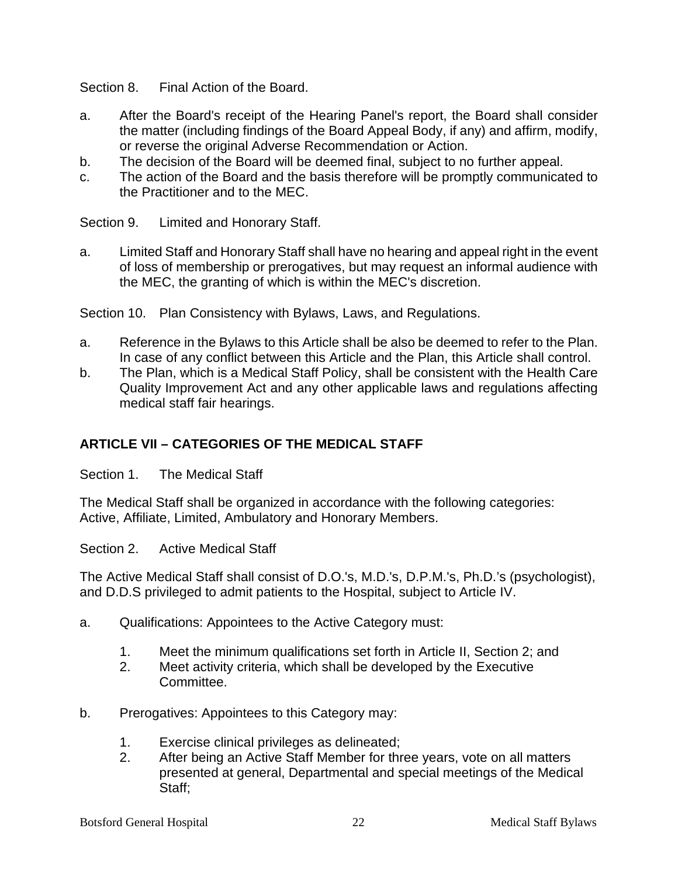Section 8. Final Action of the Board.

- a. After the Board's receipt of the Hearing Panel's report, the Board shall consider the matter (including findings of the Board Appeal Body, if any) and affirm, modify, or reverse the original Adverse Recommendation or Action.
- b. The decision of the Board will be deemed final, subject to no further appeal.
- c. The action of the Board and the basis therefore will be promptly communicated to the Practitioner and to the MEC.

Section 9. Limited and Honorary Staff.

a. Limited Staff and Honorary Staff shall have no hearing and appeal right in the event of loss of membership or prerogatives, but may request an informal audience with the MEC, the granting of which is within the MEC's discretion.

Section 10. Plan Consistency with Bylaws, Laws, and Regulations.

- a. Reference in the Bylaws to this Article shall be also be deemed to refer to the Plan. In case of any conflict between this Article and the Plan, this Article shall control.
- b. The Plan, which is a Medical Staff Policy, shall be consistent with the Health Care Quality Improvement Act and any other applicable laws and regulations affecting medical staff fair hearings.

## **ARTICLE VII – CATEGORIES OF THE MEDICAL STAFF**

Section 1. The Medical Staff

The Medical Staff shall be organized in accordance with the following categories: Active, Affiliate, Limited, Ambulatory and Honorary Members.

Section 2. Active Medical Staff

The Active Medical Staff shall consist of D.O.'s, M.D.'s, D.P.M.'s, Ph.D.'s (psychologist), and D.D.S privileged to admit patients to the Hospital, subject to Article IV.

- a. Qualifications: Appointees to the Active Category must:
	- 1. Meet the minimum qualifications set forth in Article II, Section 2; and
	- 2. Meet activity criteria, which shall be developed by the Executive Committee.
- b. Prerogatives: Appointees to this Category may:
	- 1. Exercise clinical privileges as delineated;
	- 2. After being an Active Staff Member for three years, vote on all matters presented at general, Departmental and special meetings of the Medical Staff;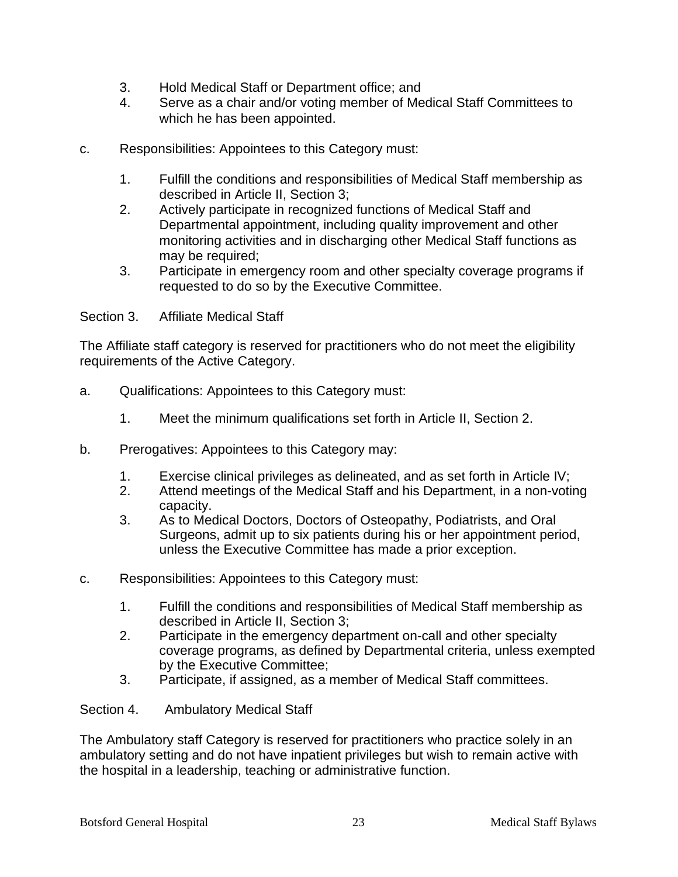- 3. Hold Medical Staff or Department office; and
- 4. Serve as a chair and/or voting member of Medical Staff Committees to which he has been appointed.
- c. Responsibilities: Appointees to this Category must:
	- 1. Fulfill the conditions and responsibilities of Medical Staff membership as described in Article II, Section 3;
	- 2. Actively participate in recognized functions of Medical Staff and Departmental appointment, including quality improvement and other monitoring activities and in discharging other Medical Staff functions as may be required;
	- 3. Participate in emergency room and other specialty coverage programs if requested to do so by the Executive Committee.

Section 3. Affiliate Medical Staff

The Affiliate staff category is reserved for practitioners who do not meet the eligibility requirements of the Active Category.

- a. Qualifications: Appointees to this Category must:
	- 1. Meet the minimum qualifications set forth in Article II, Section 2.
- b. Prerogatives: Appointees to this Category may:
	- 1. Exercise clinical privileges as delineated, and as set forth in Article IV;<br>2. Attend meetings of the Medical Staff and his Department, in a non-voti
	- Attend meetings of the Medical Staff and his Department, in a non-voting capacity.
	- 3. As to Medical Doctors, Doctors of Osteopathy, Podiatrists, and Oral Surgeons, admit up to six patients during his or her appointment period, unless the Executive Committee has made a prior exception.
- c. Responsibilities: Appointees to this Category must:
	- 1. Fulfill the conditions and responsibilities of Medical Staff membership as described in Article II, Section 3;
	- 2. Participate in the emergency department on-call and other specialty coverage programs, as defined by Departmental criteria, unless exempted by the Executive Committee;
	- 3. Participate, if assigned, as a member of Medical Staff committees.
- Section 4. Ambulatory Medical Staff

The Ambulatory staff Category is reserved for practitioners who practice solely in an ambulatory setting and do not have inpatient privileges but wish to remain active with the hospital in a leadership, teaching or administrative function.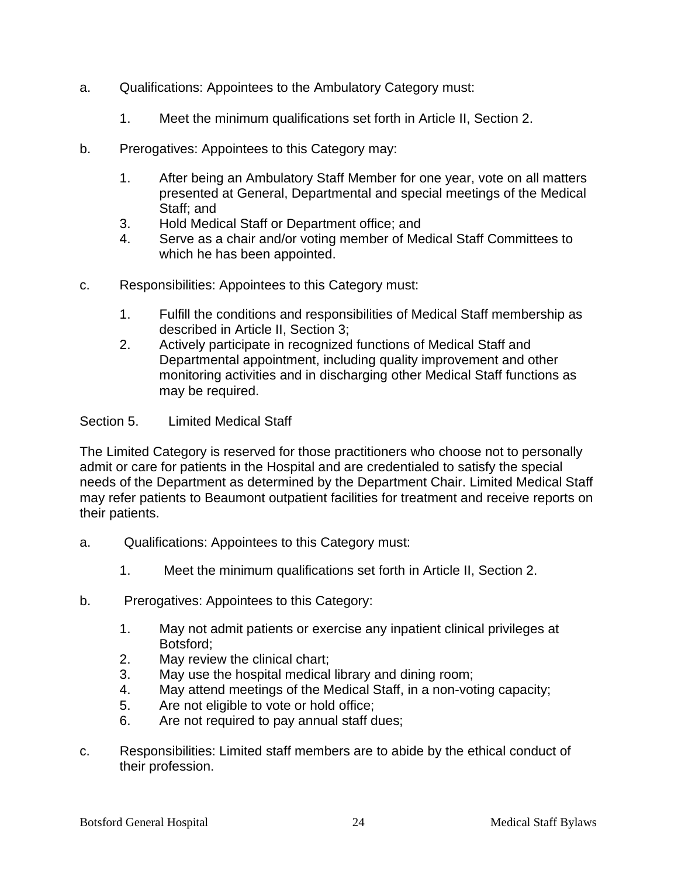- a. Qualifications: Appointees to the Ambulatory Category must:
	- 1. Meet the minimum qualifications set forth in Article II, Section 2.
- b. Prerogatives: Appointees to this Category may:
	- 1. After being an Ambulatory Staff Member for one year, vote on all matters presented at General, Departmental and special meetings of the Medical Staff; and
	- 3. Hold Medical Staff or Department office; and
	- 4. Serve as a chair and/or voting member of Medical Staff Committees to which he has been appointed.
- c. Responsibilities: Appointees to this Category must:
	- 1. Fulfill the conditions and responsibilities of Medical Staff membership as described in Article II, Section 3;
	- 2. Actively participate in recognized functions of Medical Staff and Departmental appointment, including quality improvement and other monitoring activities and in discharging other Medical Staff functions as may be required.

## Section 5. Limited Medical Staff

The Limited Category is reserved for those practitioners who choose not to personally admit or care for patients in the Hospital and are credentialed to satisfy the special needs of the Department as determined by the Department Chair. Limited Medical Staff may refer patients to Beaumont outpatient facilities for treatment and receive reports on their patients.

- a. Qualifications: Appointees to this Category must:
	- 1. Meet the minimum qualifications set forth in Article II, Section 2.
- b. Prerogatives: Appointees to this Category:
	- 1. May not admit patients or exercise any inpatient clinical privileges at Botsford;
	- 2. May review the clinical chart;
	- 3. May use the hospital medical library and dining room;
	- 4. May attend meetings of the Medical Staff, in a non-voting capacity;
	- 5. Are not eligible to vote or hold office;
	- 6. Are not required to pay annual staff dues;
- c. Responsibilities: Limited staff members are to abide by the ethical conduct of their profession.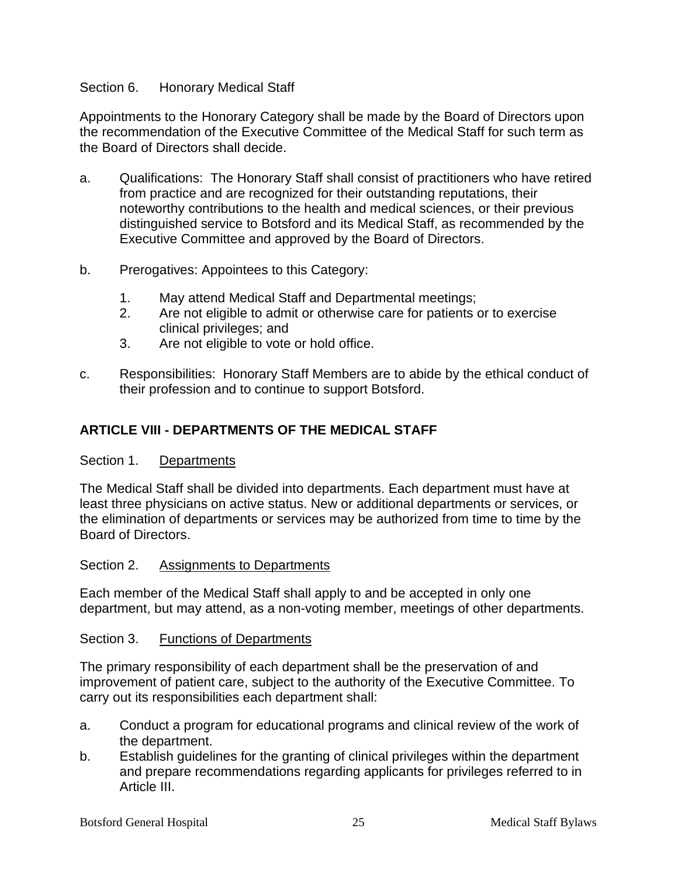## Section 6. Honorary Medical Staff

Appointments to the Honorary Category shall be made by the Board of Directors upon the recommendation of the Executive Committee of the Medical Staff for such term as the Board of Directors shall decide.

- a. Qualifications: The Honorary Staff shall consist of practitioners who have retired from practice and are recognized for their outstanding reputations, their noteworthy contributions to the health and medical sciences, or their previous distinguished service to Botsford and its Medical Staff, as recommended by the Executive Committee and approved by the Board of Directors.
- b. Prerogatives: Appointees to this Category:
	- 1. May attend Medical Staff and Departmental meetings;
	- 2. Are not eligible to admit or otherwise care for patients or to exercise clinical privileges; and
	- 3. Are not eligible to vote or hold office.
- c. Responsibilities: Honorary Staff Members are to abide by the ethical conduct of their profession and to continue to support Botsford.

## **ARTICLE VIII - DEPARTMENTS OF THE MEDICAL STAFF**

## Section 1. Departments

The Medical Staff shall be divided into departments. Each department must have at least three physicians on active status. New or additional departments or services, or the elimination of departments or services may be authorized from time to time by the Board of Directors.

## Section 2. Assignments to Departments

Each member of the Medical Staff shall apply to and be accepted in only one department, but may attend, as a non-voting member, meetings of other departments.

## Section 3. Functions of Departments

The primary responsibility of each department shall be the preservation of and improvement of patient care, subject to the authority of the Executive Committee. To carry out its responsibilities each department shall:

- a. Conduct a program for educational programs and clinical review of the work of the department.
- b. Establish guidelines for the granting of clinical privileges within the department and prepare recommendations regarding applicants for privileges referred to in Article III.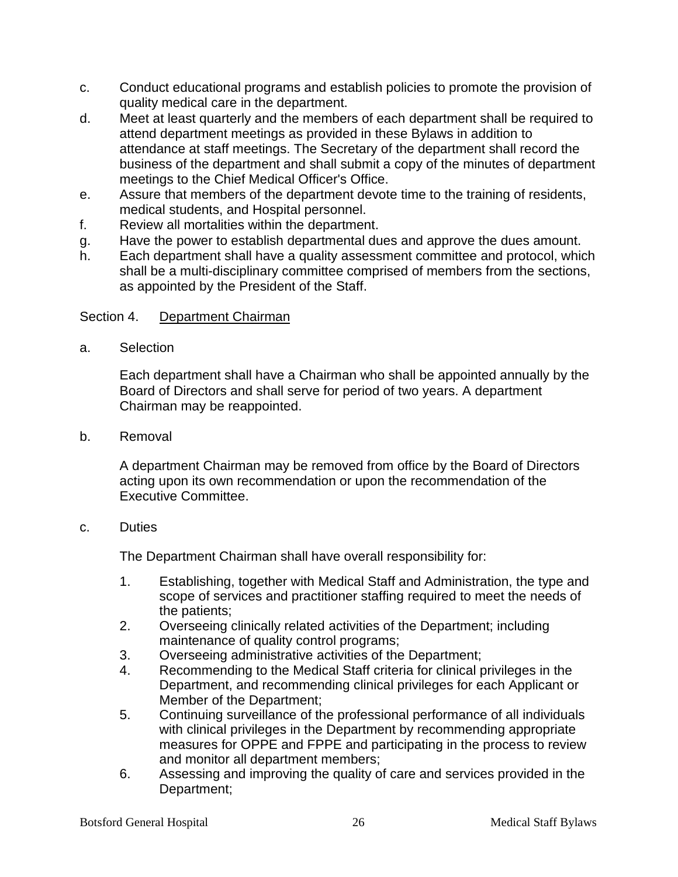- c. Conduct educational programs and establish policies to promote the provision of quality medical care in the department.
- d. Meet at least quarterly and the members of each department shall be required to attend department meetings as provided in these Bylaws in addition to attendance at staff meetings. The Secretary of the department shall record the business of the department and shall submit a copy of the minutes of department meetings to the Chief Medical Officer's Office.
- e. Assure that members of the department devote time to the training of residents, medical students, and Hospital personnel.
- f. Review all mortalities within the department.
- g. Have the power to establish departmental dues and approve the dues amount.
- h. Each department shall have a quality assessment committee and protocol, which shall be a multi-disciplinary committee comprised of members from the sections, as appointed by the President of the Staff.

## Section 4. Department Chairman

a. Selection

Each department shall have a Chairman who shall be appointed annually by the Board of Directors and shall serve for period of two years. A department Chairman may be reappointed.

b. Removal

A department Chairman may be removed from office by the Board of Directors acting upon its own recommendation or upon the recommendation of the Executive Committee.

## c. Duties

The Department Chairman shall have overall responsibility for:

- 1. Establishing, together with Medical Staff and Administration, the type and scope of services and practitioner staffing required to meet the needs of the patients;
- 2. Overseeing clinically related activities of the Department; including maintenance of quality control programs;
- 3. Overseeing administrative activities of the Department;
- 4. Recommending to the Medical Staff criteria for clinical privileges in the Department, and recommending clinical privileges for each Applicant or Member of the Department;
- 5. Continuing surveillance of the professional performance of all individuals with clinical privileges in the Department by recommending appropriate measures for OPPE and FPPE and participating in the process to review and monitor all department members;
- 6. Assessing and improving the quality of care and services provided in the Department;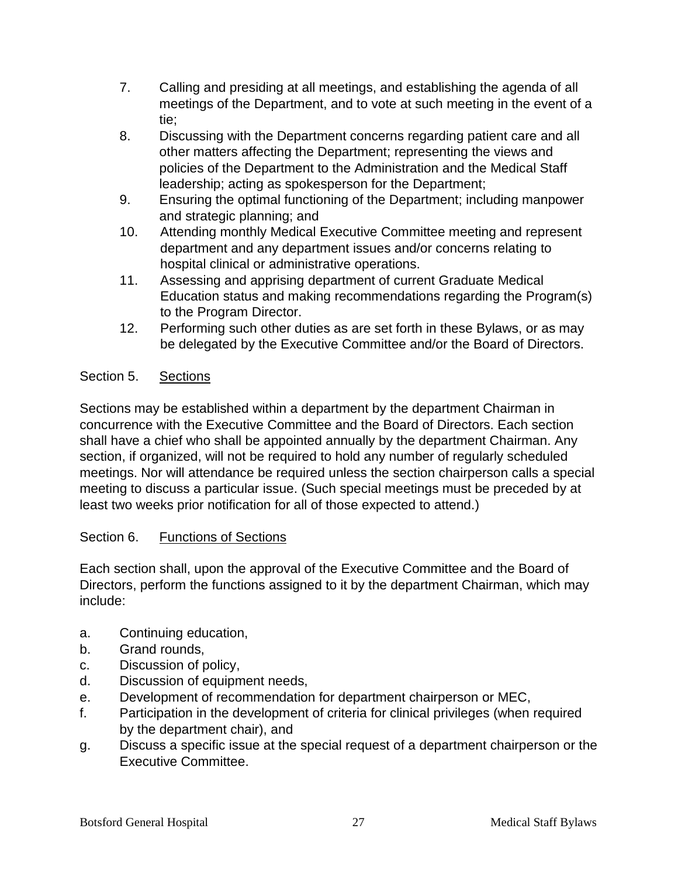- 7. Calling and presiding at all meetings, and establishing the agenda of all meetings of the Department, and to vote at such meeting in the event of a tie;
- 8. Discussing with the Department concerns regarding patient care and all other matters affecting the Department; representing the views and policies of the Department to the Administration and the Medical Staff leadership; acting as spokesperson for the Department;
- 9. Ensuring the optimal functioning of the Department; including manpower and strategic planning; and
- 10. Attending monthly Medical Executive Committee meeting and represent department and any department issues and/or concerns relating to hospital clinical or administrative operations.
- 11. Assessing and apprising department of current Graduate Medical Education status and making recommendations regarding the Program(s) to the Program Director.
- 12. Performing such other duties as are set forth in these Bylaws, or as may be delegated by the Executive Committee and/or the Board of Directors.

## Section 5. Sections

Sections may be established within a department by the department Chairman in concurrence with the Executive Committee and the Board of Directors. Each section shall have a chief who shall be appointed annually by the department Chairman. Any section, if organized, will not be required to hold any number of regularly scheduled meetings. Nor will attendance be required unless the section chairperson calls a special meeting to discuss a particular issue. (Such special meetings must be preceded by at least two weeks prior notification for all of those expected to attend.)

## Section 6. Functions of Sections

Each section shall, upon the approval of the Executive Committee and the Board of Directors, perform the functions assigned to it by the department Chairman, which may include:

- a. Continuing education,
- b. Grand rounds,
- c. Discussion of policy,
- d. Discussion of equipment needs,
- e. Development of recommendation for department chairperson or MEC,
- f. Participation in the development of criteria for clinical privileges (when required by the department chair), and
- g. Discuss a specific issue at the special request of a department chairperson or the Executive Committee.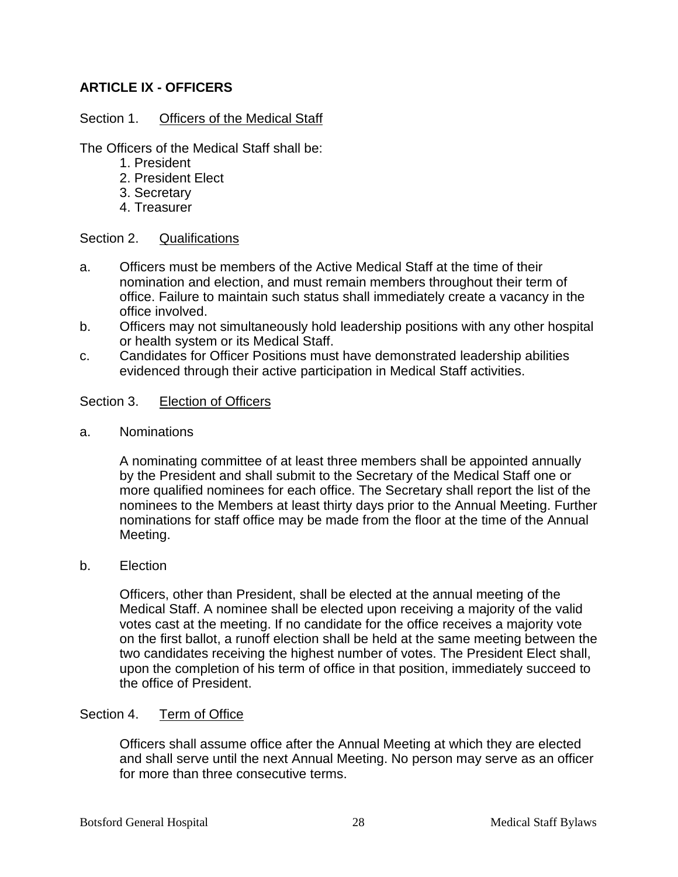## **ARTICLE IX - OFFICERS**

## Section 1. Officers of the Medical Staff

The Officers of the Medical Staff shall be:

- 1. President
- 2. President Elect
- 3. Secretary
- 4. Treasurer

## Section 2. Qualifications

- a. Officers must be members of the Active Medical Staff at the time of their nomination and election, and must remain members throughout their term of office. Failure to maintain such status shall immediately create a vacancy in the office involved.
- b. Officers may not simultaneously hold leadership positions with any other hospital or health system or its Medical Staff.
- c. Candidates for Officer Positions must have demonstrated leadership abilities evidenced through their active participation in Medical Staff activities.

## Section 3. Election of Officers

a. Nominations

A nominating committee of at least three members shall be appointed annually by the President and shall submit to the Secretary of the Medical Staff one or more qualified nominees for each office. The Secretary shall report the list of the nominees to the Members at least thirty days prior to the Annual Meeting. Further nominations for staff office may be made from the floor at the time of the Annual Meeting.

## b. Election

Officers, other than President, shall be elected at the annual meeting of the Medical Staff. A nominee shall be elected upon receiving a majority of the valid votes cast at the meeting. If no candidate for the office receives a majority vote on the first ballot, a runoff election shall be held at the same meeting between the two candidates receiving the highest number of votes. The President Elect shall, upon the completion of his term of office in that position, immediately succeed to the office of President.

## Section 4. Term of Office

Officers shall assume office after the Annual Meeting at which they are elected and shall serve until the next Annual Meeting. No person may serve as an officer for more than three consecutive terms.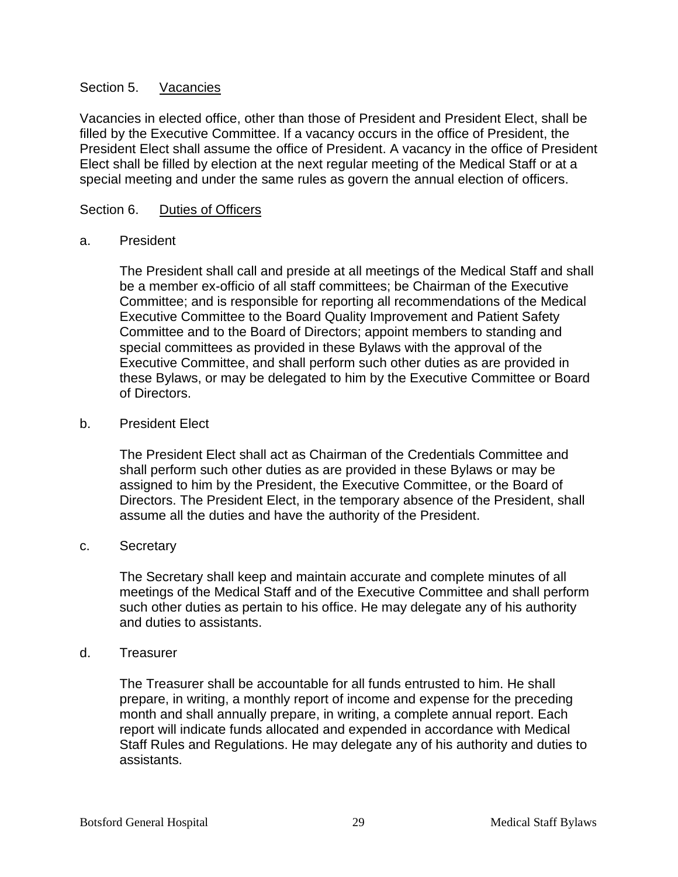## Section 5. Vacancies

Vacancies in elected office, other than those of President and President Elect, shall be filled by the Executive Committee. If a vacancy occurs in the office of President, the President Elect shall assume the office of President. A vacancy in the office of President Elect shall be filled by election at the next regular meeting of the Medical Staff or at a special meeting and under the same rules as govern the annual election of officers.

## Section 6. Duties of Officers

## a. President

The President shall call and preside at all meetings of the Medical Staff and shall be a member ex-officio of all staff committees; be Chairman of the Executive Committee; and is responsible for reporting all recommendations of the Medical Executive Committee to the Board Quality Improvement and Patient Safety Committee and to the Board of Directors; appoint members to standing and special committees as provided in these Bylaws with the approval of the Executive Committee, and shall perform such other duties as are provided in these Bylaws, or may be delegated to him by the Executive Committee or Board of Directors.

## b. President Elect

The President Elect shall act as Chairman of the Credentials Committee and shall perform such other duties as are provided in these Bylaws or may be assigned to him by the President, the Executive Committee, or the Board of Directors. The President Elect, in the temporary absence of the President, shall assume all the duties and have the authority of the President.

## c. Secretary

The Secretary shall keep and maintain accurate and complete minutes of all meetings of the Medical Staff and of the Executive Committee and shall perform such other duties as pertain to his office. He may delegate any of his authority and duties to assistants.

## d. Treasurer

The Treasurer shall be accountable for all funds entrusted to him. He shall prepare, in writing, a monthly report of income and expense for the preceding month and shall annually prepare, in writing, a complete annual report. Each report will indicate funds allocated and expended in accordance with Medical Staff Rules and Regulations. He may delegate any of his authority and duties to assistants.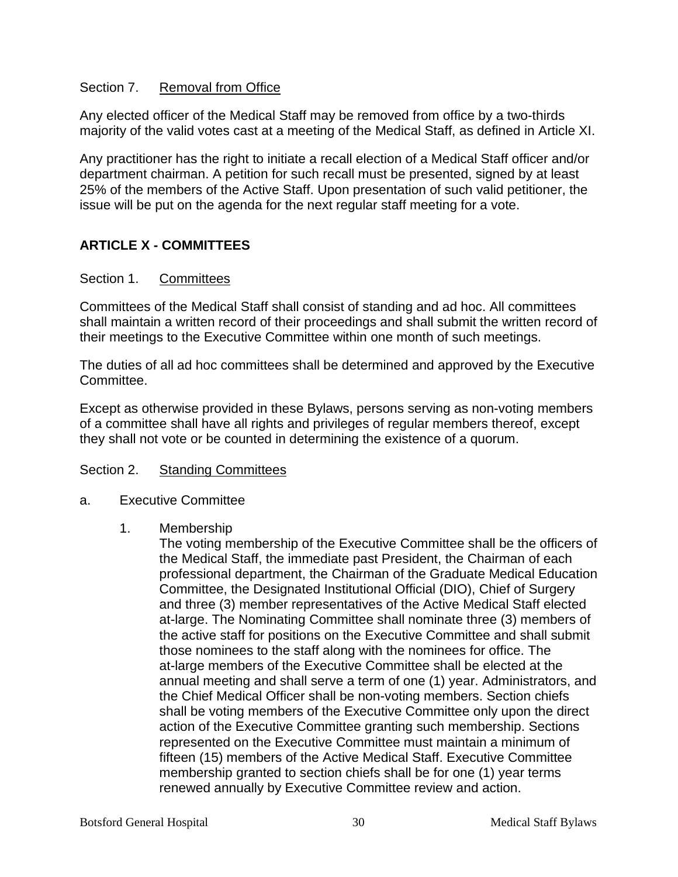## Section 7. Removal from Office

Any elected officer of the Medical Staff may be removed from office by a two-thirds majority of the valid votes cast at a meeting of the Medical Staff, as defined in Article XI.

Any practitioner has the right to initiate a recall election of a Medical Staff officer and/or department chairman. A petition for such recall must be presented, signed by at least 25% of the members of the Active Staff. Upon presentation of such valid petitioner, the issue will be put on the agenda for the next regular staff meeting for a vote.

## **ARTICLE X - COMMITTEES**

## Section 1. Committees

Committees of the Medical Staff shall consist of standing and ad hoc. All committees shall maintain a written record of their proceedings and shall submit the written record of their meetings to the Executive Committee within one month of such meetings.

The duties of all ad hoc committees shall be determined and approved by the Executive Committee.

Except as otherwise provided in these Bylaws, persons serving as non-voting members of a committee shall have all rights and privileges of regular members thereof, except they shall not vote or be counted in determining the existence of a quorum.

## Section 2. Standing Committees

a. Executive Committee

## 1. Membership

The voting membership of the Executive Committee shall be the officers of the Medical Staff, the immediate past President, the Chairman of each professional department, the Chairman of the Graduate Medical Education Committee, the Designated Institutional Official (DIO), Chief of Surgery and three (3) member representatives of the Active Medical Staff elected at-large. The Nominating Committee shall nominate three (3) members of the active staff for positions on the Executive Committee and shall submit those nominees to the staff along with the nominees for office. The at-large members of the Executive Committee shall be elected at the annual meeting and shall serve a term of one (1) year. Administrators, and the Chief Medical Officer shall be non-voting members. Section chiefs shall be voting members of the Executive Committee only upon the direct action of the Executive Committee granting such membership. Sections represented on the Executive Committee must maintain a minimum of fifteen (15) members of the Active Medical Staff. Executive Committee membership granted to section chiefs shall be for one (1) year terms renewed annually by Executive Committee review and action.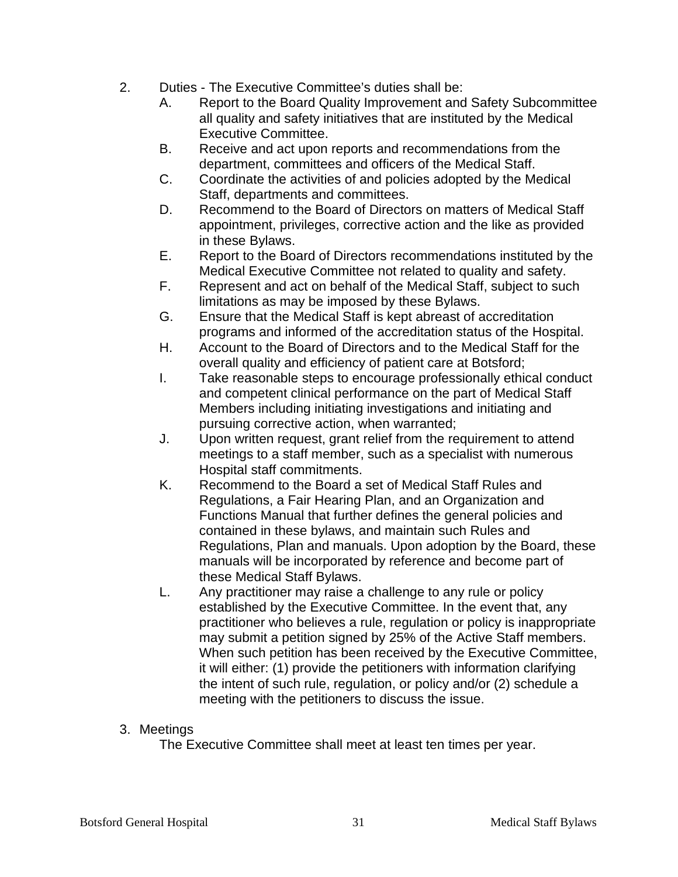- 2. Duties The Executive Committee's duties shall be:
	- A. Report to the Board Quality Improvement and Safety Subcommittee all quality and safety initiatives that are instituted by the Medical Executive Committee.
	- B. Receive and act upon reports and recommendations from the department, committees and officers of the Medical Staff.
	- C. Coordinate the activities of and policies adopted by the Medical Staff, departments and committees.
	- D. Recommend to the Board of Directors on matters of Medical Staff appointment, privileges, corrective action and the like as provided in these Bylaws.
	- E. Report to the Board of Directors recommendations instituted by the Medical Executive Committee not related to quality and safety.
	- F. Represent and act on behalf of the Medical Staff, subject to such limitations as may be imposed by these Bylaws.
	- G. Ensure that the Medical Staff is kept abreast of accreditation programs and informed of the accreditation status of the Hospital.
	- H. Account to the Board of Directors and to the Medical Staff for the overall quality and efficiency of patient care at Botsford;
	- I. Take reasonable steps to encourage professionally ethical conduct and competent clinical performance on the part of Medical Staff Members including initiating investigations and initiating and pursuing corrective action, when warranted;
	- J. Upon written request, grant relief from the requirement to attend meetings to a staff member, such as a specialist with numerous Hospital staff commitments.
	- K. Recommend to the Board a set of Medical Staff Rules and Regulations, a Fair Hearing Plan, and an Organization and Functions Manual that further defines the general policies and contained in these bylaws, and maintain such Rules and Regulations, Plan and manuals. Upon adoption by the Board, these manuals will be incorporated by reference and become part of these Medical Staff Bylaws.
	- L. Any practitioner may raise a challenge to any rule or policy established by the Executive Committee. In the event that, any practitioner who believes a rule, regulation or policy is inappropriate may submit a petition signed by 25% of the Active Staff members. When such petition has been received by the Executive Committee, it will either: (1) provide the petitioners with information clarifying the intent of such rule, regulation, or policy and/or (2) schedule a meeting with the petitioners to discuss the issue.

## 3. Meetings

The Executive Committee shall meet at least ten times per year.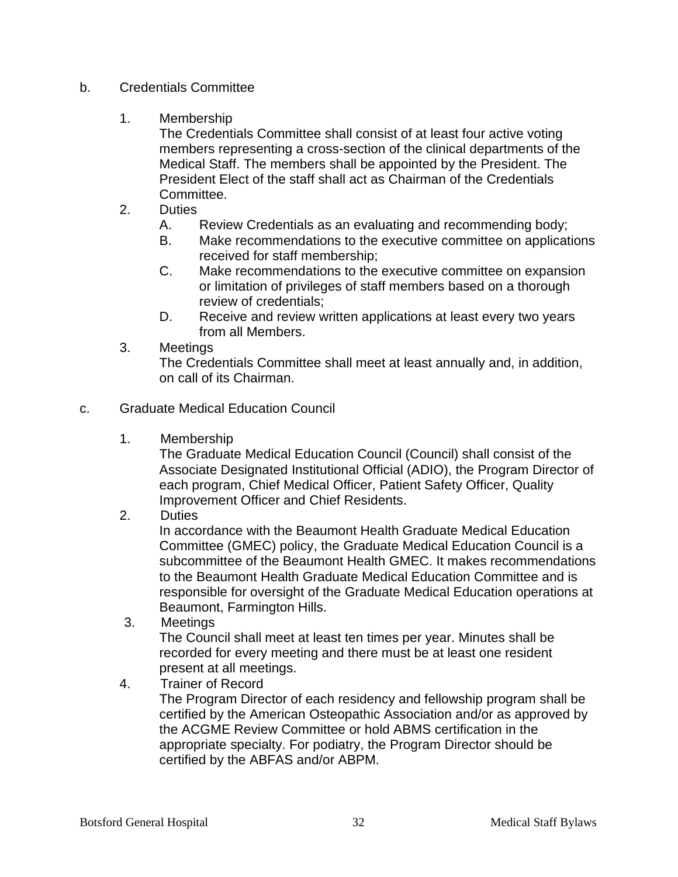- b. Credentials Committee
	- 1. Membership

The Credentials Committee shall consist of at least four active voting members representing a cross-section of the clinical departments of the Medical Staff. The members shall be appointed by the President. The President Elect of the staff shall act as Chairman of the Credentials Committee.

- 2. Duties
	- A. Review Credentials as an evaluating and recommending body;
	- B. Make recommendations to the executive committee on applications received for staff membership;
	- C. Make recommendations to the executive committee on expansion or limitation of privileges of staff members based on a thorough review of credentials;
	- D. Receive and review written applications at least every two years from all Members.
- 3. Meetings

The Credentials Committee shall meet at least annually and, in addition, on call of its Chairman.

- c. Graduate Medical Education Council
	- 1. Membership

The Graduate Medical Education Council (Council) shall consist of the Associate Designated Institutional Official (ADIO), the Program Director of each program, Chief Medical Officer, Patient Safety Officer, Quality Improvement Officer and Chief Residents.

2. Duties

In accordance with the Beaumont Health Graduate Medical Education Committee (GMEC) policy, the Graduate Medical Education Council is a subcommittee of the Beaumont Health GMEC. It makes recommendations to the Beaumont Health Graduate Medical Education Committee and is responsible for oversight of the Graduate Medical Education operations at Beaumont, Farmington Hills.

3. Meetings

The Council shall meet at least ten times per year. Minutes shall be recorded for every meeting and there must be at least one resident present at all meetings.

4. Trainer of Record The Program Director of each residency and fellowship program shall be certified by the American Osteopathic Association and/or as approved by the ACGME Review Committee or hold ABMS certification in the appropriate specialty. For podiatry, the Program Director should be certified by the ABFAS and/or ABPM.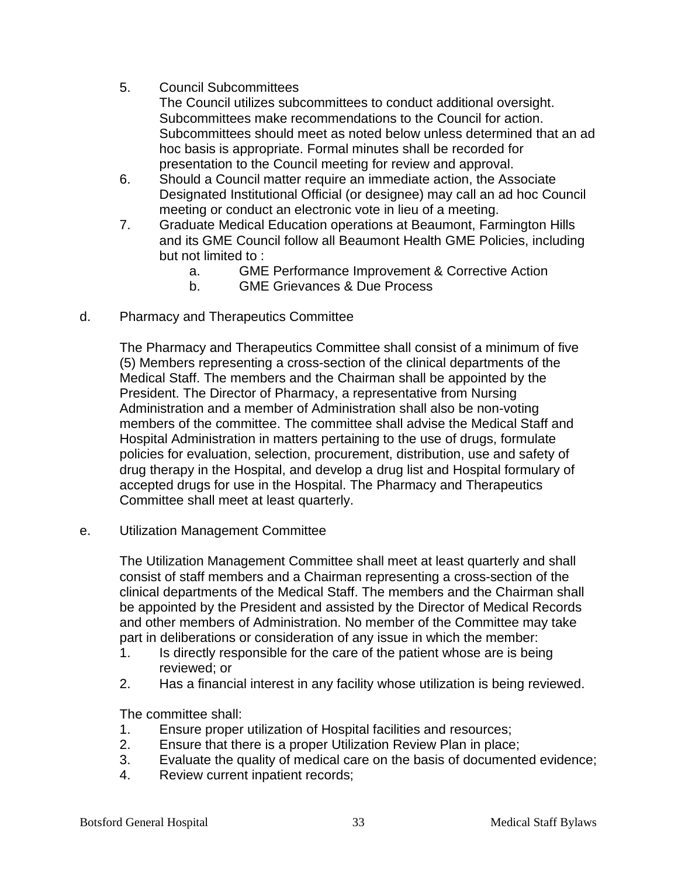- 5. Council Subcommittees
	- The Council utilizes subcommittees to conduct additional oversight. Subcommittees make recommendations to the Council for action. Subcommittees should meet as noted below unless determined that an ad hoc basis is appropriate. Formal minutes shall be recorded for presentation to the Council meeting for review and approval.
- 6. Should a Council matter require an immediate action, the Associate Designated Institutional Official (or designee) may call an ad hoc Council meeting or conduct an electronic vote in lieu of a meeting.
- 7. Graduate Medical Education operations at Beaumont, Farmington Hills and its GME Council follow all Beaumont Health GME Policies, including but not limited to :
	- a. GME Performance Improvement & Corrective Action
	- b. GME Grievances & Due Process
- d. Pharmacy and Therapeutics Committee

The Pharmacy and Therapeutics Committee shall consist of a minimum of five (5) Members representing a cross-section of the clinical departments of the Medical Staff. The members and the Chairman shall be appointed by the President. The Director of Pharmacy, a representative from Nursing Administration and a member of Administration shall also be non-voting members of the committee. The committee shall advise the Medical Staff and Hospital Administration in matters pertaining to the use of drugs, formulate policies for evaluation, selection, procurement, distribution, use and safety of drug therapy in the Hospital, and develop a drug list and Hospital formulary of accepted drugs for use in the Hospital. The Pharmacy and Therapeutics Committee shall meet at least quarterly.

e. Utilization Management Committee

The Utilization Management Committee shall meet at least quarterly and shall consist of staff members and a Chairman representing a cross-section of the clinical departments of the Medical Staff. The members and the Chairman shall be appointed by the President and assisted by the Director of Medical Records and other members of Administration. No member of the Committee may take part in deliberations or consideration of any issue in which the member:

- 1. Is directly responsible for the care of the patient whose are is being reviewed; or
- 2. Has a financial interest in any facility whose utilization is being reviewed.

The committee shall:

- 1. Ensure proper utilization of Hospital facilities and resources;
- 2. Ensure that there is a proper Utilization Review Plan in place;
- 3. Evaluate the quality of medical care on the basis of documented evidence;
- 4. Review current inpatient records;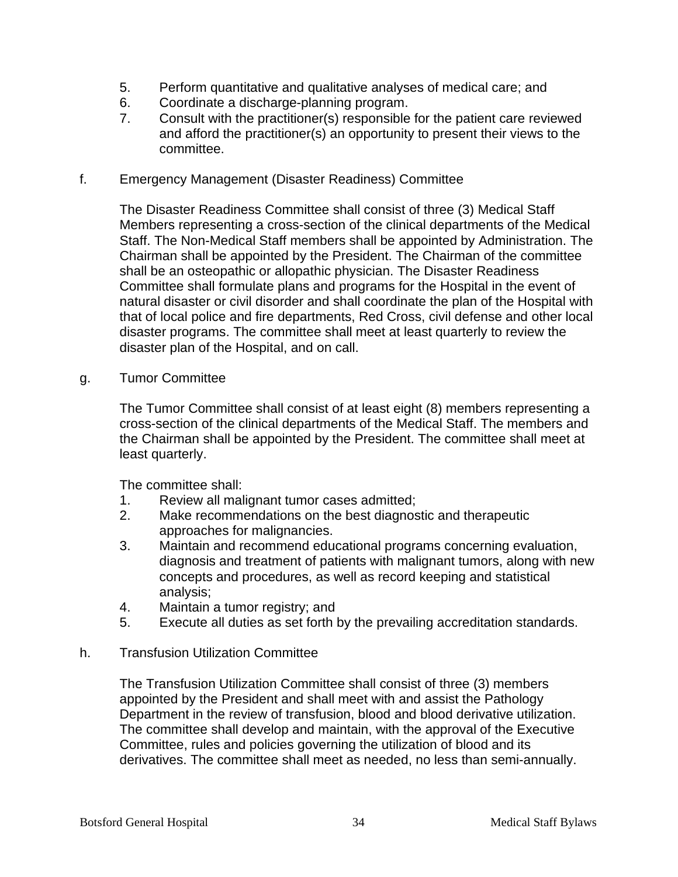- 5. Perform quantitative and qualitative analyses of medical care; and
- 6. Coordinate a discharge-planning program.
- 7. Consult with the practitioner(s) responsible for the patient care reviewed and afford the practitioner(s) an opportunity to present their views to the committee.

#### f. Emergency Management (Disaster Readiness) Committee

The Disaster Readiness Committee shall consist of three (3) Medical Staff Members representing a cross-section of the clinical departments of the Medical Staff. The Non-Medical Staff members shall be appointed by Administration. The Chairman shall be appointed by the President. The Chairman of the committee shall be an osteopathic or allopathic physician. The Disaster Readiness Committee shall formulate plans and programs for the Hospital in the event of natural disaster or civil disorder and shall coordinate the plan of the Hospital with that of local police and fire departments, Red Cross, civil defense and other local disaster programs. The committee shall meet at least quarterly to review the disaster plan of the Hospital, and on call.

g. Tumor Committee

The Tumor Committee shall consist of at least eight (8) members representing a cross-section of the clinical departments of the Medical Staff. The members and the Chairman shall be appointed by the President. The committee shall meet at least quarterly.

The committee shall:

- 1. Review all malignant tumor cases admitted;
- 2. Make recommendations on the best diagnostic and therapeutic approaches for malignancies.
- 3. Maintain and recommend educational programs concerning evaluation, diagnosis and treatment of patients with malignant tumors, along with new concepts and procedures, as well as record keeping and statistical analysis;
- 4. Maintain a tumor registry; and
- 5. Execute all duties as set forth by the prevailing accreditation standards.
- h. Transfusion Utilization Committee

The Transfusion Utilization Committee shall consist of three (3) members appointed by the President and shall meet with and assist the Pathology Department in the review of transfusion, blood and blood derivative utilization. The committee shall develop and maintain, with the approval of the Executive Committee, rules and policies governing the utilization of blood and its derivatives. The committee shall meet as needed, no less than semi-annually.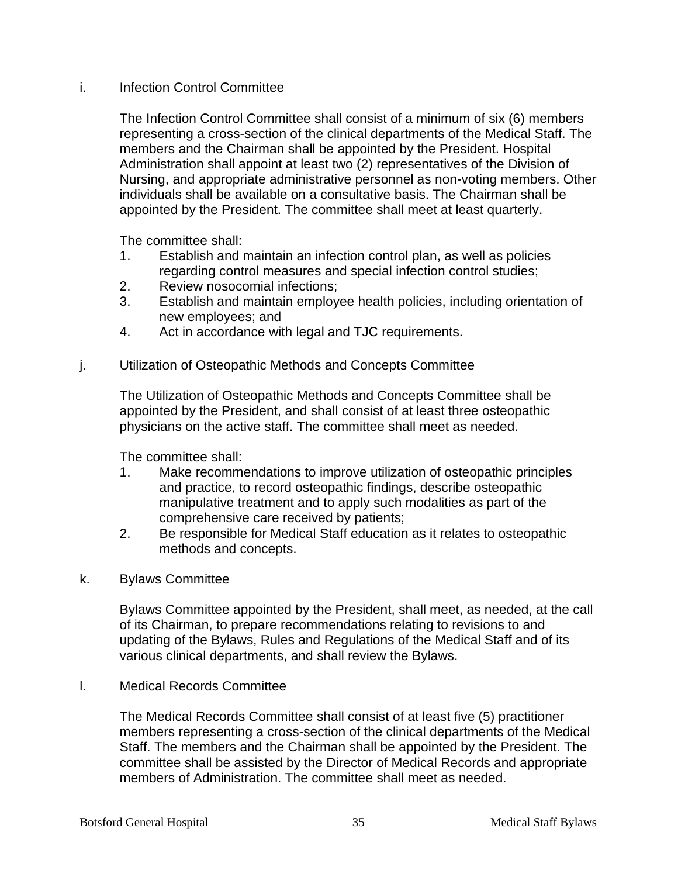## i. Infection Control Committee

The Infection Control Committee shall consist of a minimum of six (6) members representing a cross-section of the clinical departments of the Medical Staff. The members and the Chairman shall be appointed by the President. Hospital Administration shall appoint at least two (2) representatives of the Division of Nursing, and appropriate administrative personnel as non-voting members. Other individuals shall be available on a consultative basis. The Chairman shall be appointed by the President. The committee shall meet at least quarterly.

The committee shall:

- 1. Establish and maintain an infection control plan, as well as policies regarding control measures and special infection control studies;
- 2. Review nosocomial infections;
- 3. Establish and maintain employee health policies, including orientation of new employees; and
- 4. Act in accordance with legal and TJC requirements.

#### j. Utilization of Osteopathic Methods and Concepts Committee

The Utilization of Osteopathic Methods and Concepts Committee shall be appointed by the President, and shall consist of at least three osteopathic physicians on the active staff. The committee shall meet as needed.

The committee shall:

- 1. Make recommendations to improve utilization of osteopathic principles and practice, to record osteopathic findings, describe osteopathic manipulative treatment and to apply such modalities as part of the comprehensive care received by patients;
- 2. Be responsible for Medical Staff education as it relates to osteopathic methods and concepts.
- k. Bylaws Committee

Bylaws Committee appointed by the President, shall meet, as needed, at the call of its Chairman, to prepare recommendations relating to revisions to and updating of the Bylaws, Rules and Regulations of the Medical Staff and of its various clinical departments, and shall review the Bylaws.

l. Medical Records Committee

The Medical Records Committee shall consist of at least five (5) practitioner members representing a cross-section of the clinical departments of the Medical Staff. The members and the Chairman shall be appointed by the President. The committee shall be assisted by the Director of Medical Records and appropriate members of Administration. The committee shall meet as needed.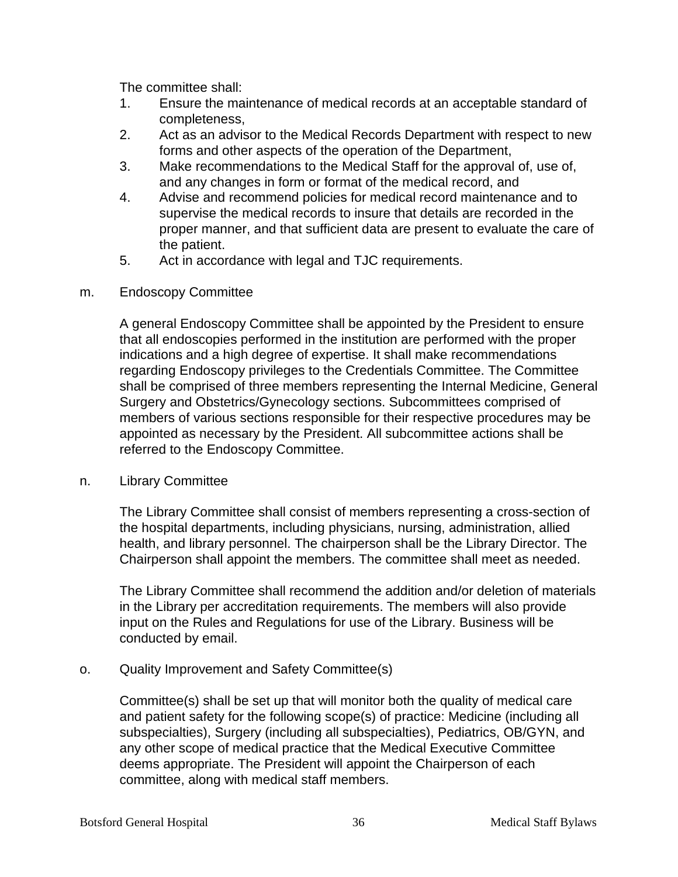The committee shall:

- 1. Ensure the maintenance of medical records at an acceptable standard of completeness,
- 2. Act as an advisor to the Medical Records Department with respect to new forms and other aspects of the operation of the Department,
- 3. Make recommendations to the Medical Staff for the approval of, use of, and any changes in form or format of the medical record, and
- 4. Advise and recommend policies for medical record maintenance and to supervise the medical records to insure that details are recorded in the proper manner, and that sufficient data are present to evaluate the care of the patient.
- 5. Act in accordance with legal and TJC requirements.

## m. Endoscopy Committee

A general Endoscopy Committee shall be appointed by the President to ensure that all endoscopies performed in the institution are performed with the proper indications and a high degree of expertise. It shall make recommendations regarding Endoscopy privileges to the Credentials Committee. The Committee shall be comprised of three members representing the Internal Medicine, General Surgery and Obstetrics/Gynecology sections. Subcommittees comprised of members of various sections responsible for their respective procedures may be appointed as necessary by the President. All subcommittee actions shall be referred to the Endoscopy Committee.

## n. Library Committee

The Library Committee shall consist of members representing a cross-section of the hospital departments, including physicians, nursing, administration, allied health, and library personnel. The chairperson shall be the Library Director. The Chairperson shall appoint the members. The committee shall meet as needed.

The Library Committee shall recommend the addition and/or deletion of materials in the Library per accreditation requirements. The members will also provide input on the Rules and Regulations for use of the Library. Business will be conducted by email.

## o. Quality Improvement and Safety Committee(s)

Committee(s) shall be set up that will monitor both the quality of medical care and patient safety for the following scope(s) of practice: Medicine (including all subspecialties), Surgery (including all subspecialties), Pediatrics, OB/GYN, and any other scope of medical practice that the Medical Executive Committee deems appropriate. The President will appoint the Chairperson of each committee, along with medical staff members.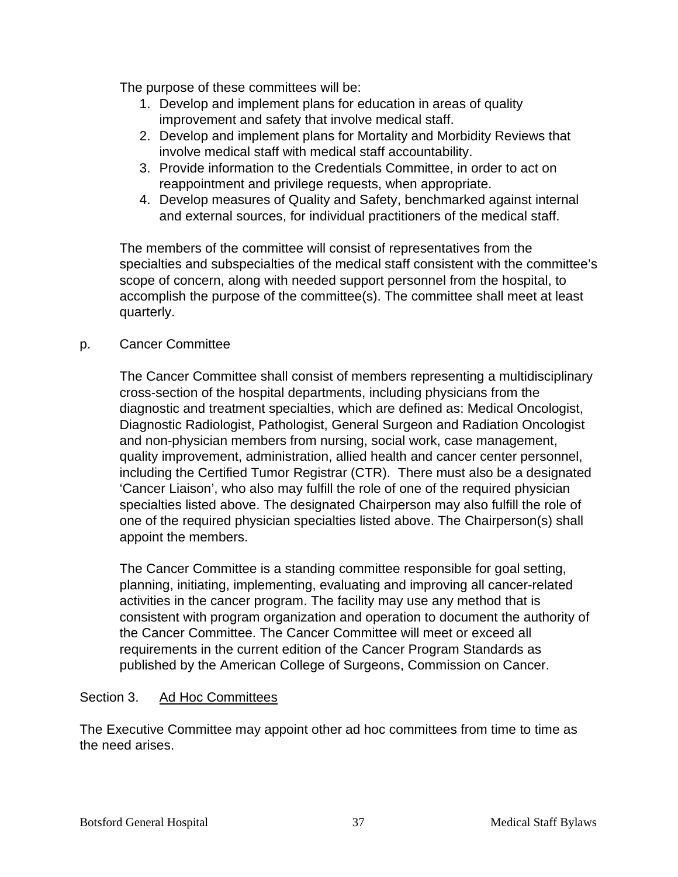The purpose of these committees will be:

- 1. Develop and implement plans for education in areas of quality improvement and safety that involve medical staff.
- 2. Develop and implement plans for Mortality and Morbidity Reviews that involve medical staff with medical staff accountability.
- 3. Provide information to the Credentials Committee, in order to act on reappointment and privilege requests, when appropriate.
- 4. Develop measures of Quality and Safety, benchmarked against internal and external sources, for individual practitioners of the medical staff.

The members of the committee will consist of representatives from the specialties and subspecialties of the medical staff consistent with the committee's scope of concern, along with needed support personnel from the hospital, to accomplish the purpose of the committee(s). The committee shall meet at least quarterly.

## p. Cancer Committee

The Cancer Committee shall consist of members representing a multidisciplinary cross-section of the hospital departments, including physicians from the diagnostic and treatment specialties, which are defined as: Medical Oncologist, Diagnostic Radiologist, Pathologist, General Surgeon and Radiation Oncologist and non-physician members from nursing, social work, case management, quality improvement, administration, allied health and cancer center personnel, including the Certified Tumor Registrar (CTR). There must also be a designated 'Cancer Liaison', who also may fulfill the role of one of the required physician specialties listed above. The designated Chairperson may also fulfill the role of one of the required physician specialties listed above. The Chairperson(s) shall appoint the members.

The Cancer Committee is a standing committee responsible for goal setting, planning, initiating, implementing, evaluating and improving all cancer-related activities in the cancer program. The facility may use any method that is consistent with program organization and operation to document the authority of the Cancer Committee. The Cancer Committee will meet or exceed all requirements in the current edition of the Cancer Program Standards as published by the American College of Surgeons, Commission on Cancer.

## Section 3. Ad Hoc Committees

The Executive Committee may appoint other ad hoc committees from time to time as the need arises.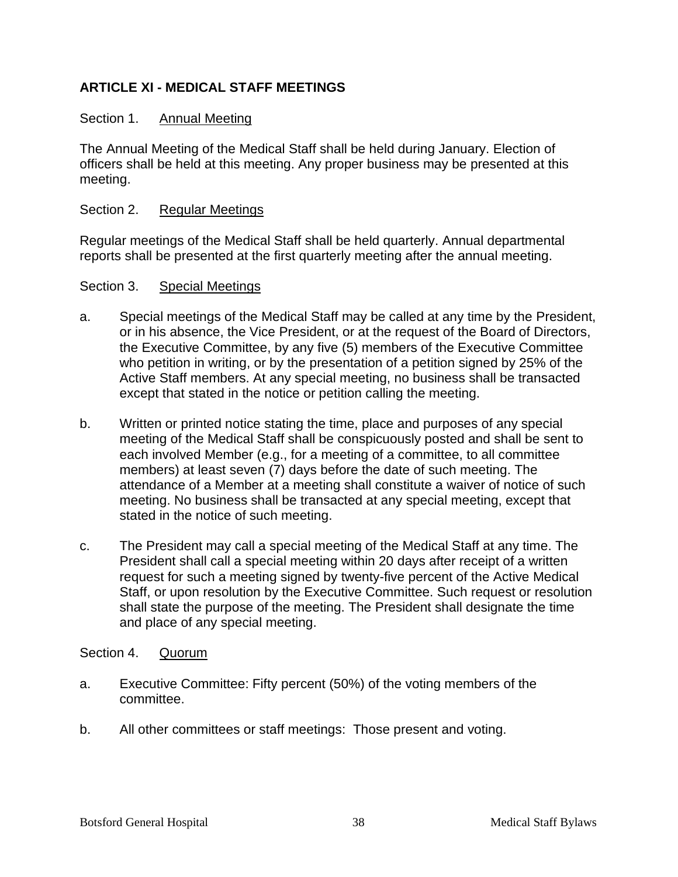## **ARTICLE XI - MEDICAL STAFF MEETINGS**

## Section 1. Annual Meeting

The Annual Meeting of the Medical Staff shall be held during January. Election of officers shall be held at this meeting. Any proper business may be presented at this meeting.

## Section 2. Regular Meetings

Regular meetings of the Medical Staff shall be held quarterly. Annual departmental reports shall be presented at the first quarterly meeting after the annual meeting.

#### Section 3. Special Meetings

- a. Special meetings of the Medical Staff may be called at any time by the President, or in his absence, the Vice President, or at the request of the Board of Directors, the Executive Committee, by any five (5) members of the Executive Committee who petition in writing, or by the presentation of a petition signed by 25% of the Active Staff members. At any special meeting, no business shall be transacted except that stated in the notice or petition calling the meeting.
- b. Written or printed notice stating the time, place and purposes of any special meeting of the Medical Staff shall be conspicuously posted and shall be sent to each involved Member (e.g., for a meeting of a committee, to all committee members) at least seven (7) days before the date of such meeting. The attendance of a Member at a meeting shall constitute a waiver of notice of such meeting. No business shall be transacted at any special meeting, except that stated in the notice of such meeting.
- c. The President may call a special meeting of the Medical Staff at any time. The President shall call a special meeting within 20 days after receipt of a written request for such a meeting signed by twenty-five percent of the Active Medical Staff, or upon resolution by the Executive Committee. Such request or resolution shall state the purpose of the meeting. The President shall designate the time and place of any special meeting.

## Section 4. Quorum

- a. Executive Committee: Fifty percent (50%) of the voting members of the committee.
- b. All other committees or staff meetings: Those present and voting.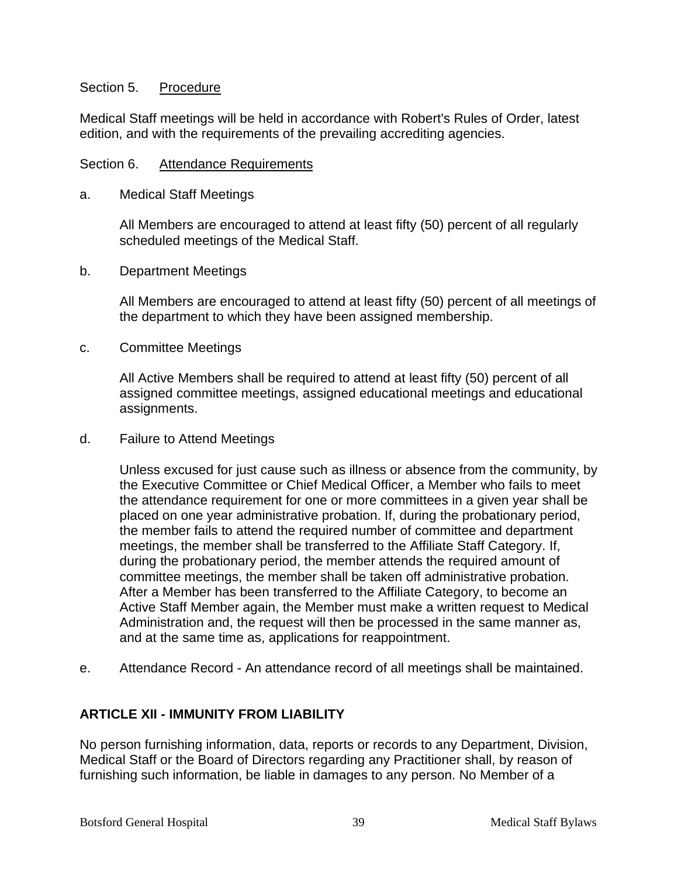#### Section 5. Procedure

Medical Staff meetings will be held in accordance with Robert's Rules of Order, latest edition, and with the requirements of the prevailing accrediting agencies.

#### Section 6. Attendance Requirements

a. Medical Staff Meetings

All Members are encouraged to attend at least fifty (50) percent of all regularly scheduled meetings of the Medical Staff.

b. Department Meetings

All Members are encouraged to attend at least fifty (50) percent of all meetings of the department to which they have been assigned membership.

c. Committee Meetings

All Active Members shall be required to attend at least fifty (50) percent of all assigned committee meetings, assigned educational meetings and educational assignments.

d. Failure to Attend Meetings

Unless excused for just cause such as illness or absence from the community, by the Executive Committee or Chief Medical Officer, a Member who fails to meet the attendance requirement for one or more committees in a given year shall be placed on one year administrative probation. If, during the probationary period, the member fails to attend the required number of committee and department meetings, the member shall be transferred to the Affiliate Staff Category. If, during the probationary period, the member attends the required amount of committee meetings, the member shall be taken off administrative probation. After a Member has been transferred to the Affiliate Category, to become an Active Staff Member again, the Member must make a written request to Medical Administration and, the request will then be processed in the same manner as, and at the same time as, applications for reappointment.

e. Attendance Record - An attendance record of all meetings shall be maintained.

## **ARTICLE XII - IMMUNITY FROM LIABILITY**

No person furnishing information, data, reports or records to any Department, Division, Medical Staff or the Board of Directors regarding any Practitioner shall, by reason of furnishing such information, be liable in damages to any person. No Member of a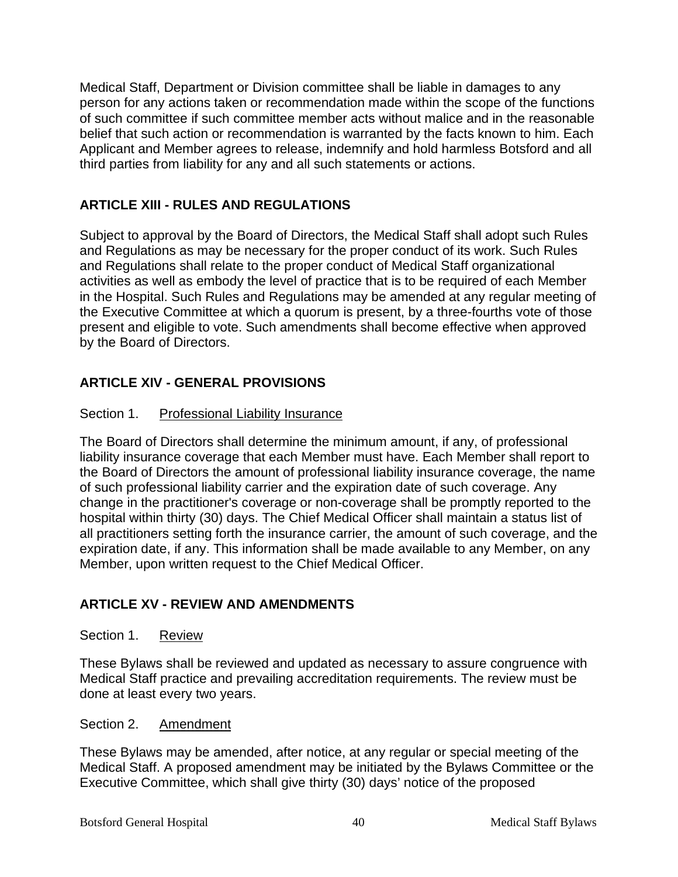Medical Staff, Department or Division committee shall be liable in damages to any person for any actions taken or recommendation made within the scope of the functions of such committee if such committee member acts without malice and in the reasonable belief that such action or recommendation is warranted by the facts known to him. Each Applicant and Member agrees to release, indemnify and hold harmless Botsford and all third parties from liability for any and all such statements or actions.

## **ARTICLE XIII - RULES AND REGULATIONS**

Subject to approval by the Board of Directors, the Medical Staff shall adopt such Rules and Regulations as may be necessary for the proper conduct of its work. Such Rules and Regulations shall relate to the proper conduct of Medical Staff organizational activities as well as embody the level of practice that is to be required of each Member in the Hospital. Such Rules and Regulations may be amended at any regular meeting of the Executive Committee at which a quorum is present, by a three-fourths vote of those present and eligible to vote. Such amendments shall become effective when approved by the Board of Directors.

## **ARTICLE XIV - GENERAL PROVISIONS**

## Section 1. Professional Liability Insurance

The Board of Directors shall determine the minimum amount, if any, of professional liability insurance coverage that each Member must have. Each Member shall report to the Board of Directors the amount of professional liability insurance coverage, the name of such professional liability carrier and the expiration date of such coverage. Any change in the practitioner's coverage or non-coverage shall be promptly reported to the hospital within thirty (30) days. The Chief Medical Officer shall maintain a status list of all practitioners setting forth the insurance carrier, the amount of such coverage, and the expiration date, if any. This information shall be made available to any Member, on any Member, upon written request to the Chief Medical Officer.

## **ARTICLE XV - REVIEW AND AMENDMENTS**

## Section 1. Review

These Bylaws shall be reviewed and updated as necessary to assure congruence with Medical Staff practice and prevailing accreditation requirements. The review must be done at least every two years.

## Section 2. Amendment

These Bylaws may be amended, after notice, at any regular or special meeting of the Medical Staff. A proposed amendment may be initiated by the Bylaws Committee or the Executive Committee, which shall give thirty (30) days' notice of the proposed